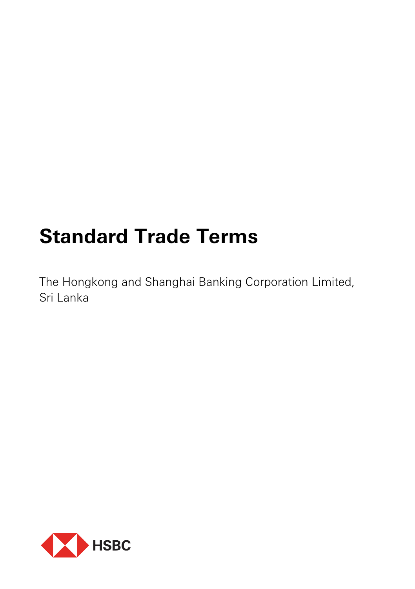# **Standard Trade Terms**

The Hongkong and Shanghai Banking Corporation Limited, Sri Lanka

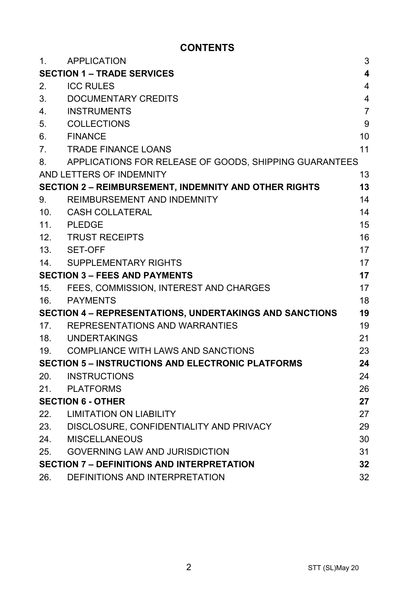# **CONTENTS**

| 1 <sub>1</sub>                       | <b>APPLICATION</b>                                             | 3              |
|--------------------------------------|----------------------------------------------------------------|----------------|
|                                      | <b>SECTION 1 - TRADE SERVICES</b>                              | 4              |
| 2.                                   | <b>ICC RULES</b>                                               | 4              |
| 3.                                   | DOCUMENTARY CREDITS                                            | 4              |
| 4.                                   | <b>INSTRUMENTS</b>                                             | $\overline{7}$ |
| 5.                                   | <b>COLLECTIONS</b>                                             | 9              |
| 6.                                   | <b>FINANCE</b>                                                 | 10             |
| $7_{-}$                              | <b>TRADE FINANCE LOANS</b>                                     | 11             |
| 8.                                   | APPLICATIONS FOR RELEASE OF GOODS, SHIPPING GUARANTEES         |                |
|                                      | AND LETTERS OF INDEMNITY                                       | 13             |
|                                      | <b>SECTION 2 - REIMBURSEMENT, INDEMNITY AND OTHER RIGHTS</b>   | 13             |
| 9.                                   | REIMBURSEMENT AND INDEMNITY                                    | 14             |
| 10.                                  | CASH COLLATERAL                                                | 14             |
|                                      | 11. PLEDGE                                                     | 15             |
|                                      | 12. TRUST RECEIPTS                                             | 16             |
|                                      | 13. SET-OFF                                                    | 17             |
|                                      | 14. SUPPLEMENTARY RIGHTS                                       | 17             |
| <b>SECTION 3 - FEES AND PAYMENTS</b> |                                                                | 17             |
| 15.                                  | FEES, COMMISSION, INTEREST AND CHARGES                         | 17             |
| 16.                                  | <b>PAYMENTS</b>                                                | 18             |
|                                      | <b>SECTION 4 - REPRESENTATIONS, UNDERTAKINGS AND SANCTIONS</b> | 19             |
|                                      | 17. REPRESENTATIONS AND WARRANTIES                             | 19             |
|                                      | 18. UNDERTAKINGS                                               | 21             |
| 19.                                  | COMPLIANCE WITH LAWS AND SANCTIONS                             | 23             |
|                                      | <b>SECTION 5 - INSTRUCTIONS AND ELECTRONIC PLATFORMS</b>       | 24             |
| 20.                                  | <b>INSTRUCTIONS</b>                                            | 24             |
| 21.                                  | PLATFORMS                                                      | 26             |
| <b>SECTION 6 - OTHER</b>             |                                                                | 27             |
| 22.                                  | <b>LIMITATION ON LIABILITY</b>                                 | 27             |
| 23.                                  | DISCLOSURE, CONFIDENTIALITY AND PRIVACY                        | 29             |
| 24.                                  | MISCELLANEOUS                                                  | 30             |
| 25.                                  | <b>GOVERNING LAW AND JURISDICTION</b>                          | 31             |
|                                      | <b>SECTION 7 - DEFINITIONS AND INTERPRETATION</b>              | 32             |
| 26.                                  | DEFINITIONS AND INTERPRETATION                                 | 32             |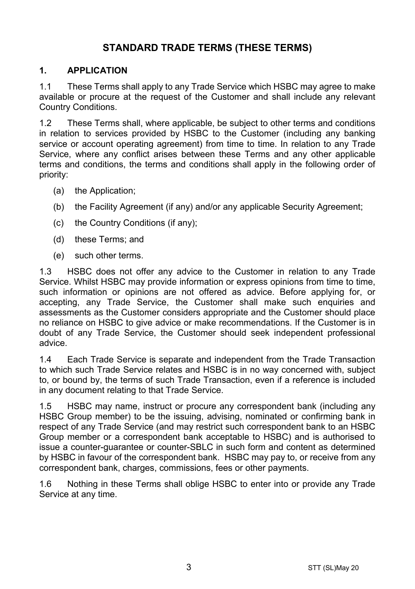# **STANDARD TRADE TERMS (THESE TERMS)**

## **1. APPLICATION**

1.1 These Terms shall apply to any Trade Service which HSBC may agree to make available or procure at the request of the Customer and shall include any relevant Country Conditions.

1.2 These Terms shall, where applicable, be subject to other terms and conditions in relation to services provided by HSBC to the Customer (including any banking service or account operating agreement) from time to time. In relation to any Trade Service, where any conflict arises between these Terms and any other applicable terms and conditions, the terms and conditions shall apply in the following order of priority:

- (a) the Application;
- (b) the Facility Agreement (if any) and/or any applicable Security Agreement;
- (c) the Country Conditions (if any);
- (d) these Terms; and
- (e) such other terms.

1.3 HSBC does not offer any advice to the Customer in relation to any Trade Service. Whilst HSBC may provide information or express opinions from time to time, such information or opinions are not offered as advice. Before applying for, or accepting, any Trade Service, the Customer shall make such enquiries and assessments as the Customer considers appropriate and the Customer should place no reliance on HSBC to give advice or make recommendations. If the Customer is in doubt of any Trade Service, the Customer should seek independent professional advice.

1.4 Each Trade Service is separate and independent from the Trade Transaction to which such Trade Service relates and HSBC is in no way concerned with, subject to, or bound by, the terms of such Trade Transaction, even if a reference is included in any document relating to that Trade Service.

1.5 HSBC may name, instruct or procure any correspondent bank (including any HSBC Group member) to be the issuing, advising, nominated or confirming bank in respect of any Trade Service (and may restrict such correspondent bank to an HSBC Group member or a correspondent bank acceptable to HSBC) and is authorised to issue a counter-guarantee or counter-SBLC in such form and content as determined by HSBC in favour of the correspondent bank. HSBC may pay to, or receive from any correspondent bank, charges, commissions, fees or other payments.

1.6 Nothing in these Terms shall oblige HSBC to enter into or provide any Trade Service at any time.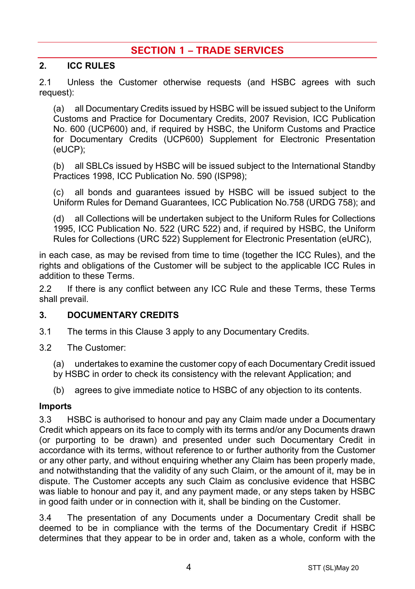# **SECTION 1 – TRADE SERVICES**

## **2. ICC RULES**

2.1 Unless the Customer otherwise requests (and HSBC agrees with such request):

(a) all Documentary Credits issued by HSBC will be issued subject to the Uniform Customs and Practice for Documentary Credits, 2007 Revision, ICC Publication No. 600 (UCP600) and, if required by HSBC, the Uniform Customs and Practice for Documentary Credits (UCP600) Supplement for Electronic Presentation (eUCP);

(b) all SBLCs issued by HSBC will be issued subject to the International Standby Practices 1998, ICC Publication No. 590 (ISP98);

(c) all bonds and guarantees issued by HSBC will be issued subject to the Uniform Rules for Demand Guarantees, ICC Publication No.758 (URDG 758); and

(d) all Collections will be undertaken subject to the Uniform Rules for Collections 1995, ICC Publication No. 522 (URC 522) and, if required by HSBC, the Uniform Rules for Collections (URC 522) Supplement for Electronic Presentation (eURC),

in each case, as may be revised from time to time (together the ICC Rules), and the rights and obligations of the Customer will be subject to the applicable ICC Rules in addition to these Terms.

2.2 If there is any conflict between any ICC Rule and these Terms, these Terms shall prevail.

#### **3. DOCUMENTARY CREDITS**

- 3.1 The terms in this Clause 3 apply to any Documentary Credits.
- 3.2 The Customer:

(a) undertakes to examine the customer copy of each Documentary Credit issued by HSBC in order to check its consistency with the relevant Application; and

(b) agrees to give immediate notice to HSBC of any objection to its contents.

#### **Imports**

3.3 HSBC is authorised to honour and pay any Claim made under a Documentary Credit which appears on its face to comply with its terms and/or any Documents drawn (or purporting to be drawn) and presented under such Documentary Credit in accordance with its terms, without reference to or further authority from the Customer or any other party, and without enquiring whether any Claim has been properly made, and notwithstanding that the validity of any such Claim, or the amount of it, may be in dispute. The Customer accepts any such Claim as conclusive evidence that HSBC was liable to honour and pay it, and any payment made, or any steps taken by HSBC in good faith under or in connection with it, shall be binding on the Customer.

3.4 The presentation of any Documents under a Documentary Credit shall be deemed to be in compliance with the terms of the Documentary Credit if HSBC determines that they appear to be in order and, taken as a whole, conform with the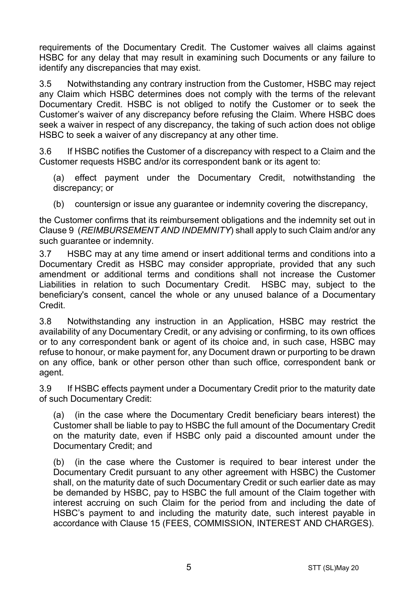requirements of the Documentary Credit. The Customer waives all claims against HSBC for any delay that may result in examining such Documents or any failure to identify any discrepancies that may exist.

3.5 Notwithstanding any contrary instruction from the Customer, HSBC may reject any Claim which HSBC determines does not comply with the terms of the relevant Documentary Credit. HSBC is not obliged to notify the Customer or to seek the Customer's waiver of any discrepancy before refusing the Claim. Where HSBC does seek a waiver in respect of any discrepancy, the taking of such action does not oblige HSBC to seek a waiver of any discrepancy at any other time.

3.6 If HSBC notifies the Customer of a discrepancy with respect to a Claim and the Customer requests HSBC and/or its correspondent bank or its agent to:

(a) effect payment under the Documentary Credit, notwithstanding the discrepancy; or

(b) countersign or issue any quarantee or indemnity covering the discrepancy,

the Customer confirms that its reimbursement obligations and the indemnity set out in Clause 9 (*REIMBURSEMENT AND INDEMNITY*) shall apply to such Claim and/or any such guarantee or indemnity.

3.7 HSBC may at any time amend or insert additional terms and conditions into a Documentary Credit as HSBC may consider appropriate, provided that any such amendment or additional terms and conditions shall not increase the Customer Liabilities in relation to such Documentary Credit. HSBC may, subject to the beneficiary's consent, cancel the whole or any unused balance of a Documentary Credit.

3.8 Notwithstanding any instruction in an Application, HSBC may restrict the availability of any Documentary Credit, or any advising or confirming, to its own offices or to any correspondent bank or agent of its choice and, in such case, HSBC may refuse to honour, or make payment for, any Document drawn or purporting to be drawn on any office, bank or other person other than such office, correspondent bank or agent.

3.9 If HSBC effects payment under a Documentary Credit prior to the maturity date of such Documentary Credit:

(a) (in the case where the Documentary Credit beneficiary bears interest) the Customer shall be liable to pay to HSBC the full amount of the Documentary Credit on the maturity date, even if HSBC only paid a discounted amount under the Documentary Credit; and

(b) (in the case where the Customer is required to bear interest under the Documentary Credit pursuant to any other agreement with HSBC) the Customer shall, on the maturity date of such Documentary Credit or such earlier date as may be demanded by HSBC, pay to HSBC the full amount of the Claim together with interest accruing on such Claim for the period from and including the date of HSBC's payment to and including the maturity date, such interest payable in accordance with Clause 15 (FEES, COMMISSION, INTEREST AND CHARGES).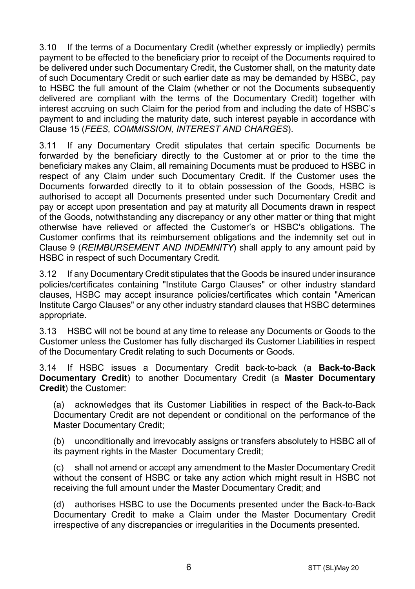3.10 If the terms of a Documentary Credit (whether expressly or impliedly) permits payment to be effected to the beneficiary prior to receipt of the Documents required to be delivered under such Documentary Credit, the Customer shall, on the maturity date of such Documentary Credit or such earlier date as may be demanded by HSBC, pay to HSBC the full amount of the Claim (whether or not the Documents subsequently delivered are compliant with the terms of the Documentary Credit) together with interest accruing on such Claim for the period from and including the date of HSBC's payment to and including the maturity date, such interest payable in accordance with Clause 15 (*FEES, COMMISSION, INTEREST AND CHARGES*).

3.11 If any Documentary Credit stipulates that certain specific Documents be forwarded by the beneficiary directly to the Customer at or prior to the time the beneficiary makes any Claim, all remaining Documents must be produced to HSBC in respect of any Claim under such Documentary Credit. If the Customer uses the Documents forwarded directly to it to obtain possession of the Goods, HSBC is authorised to accept all Documents presented under such Documentary Credit and pay or accept upon presentation and pay at maturity all Documents drawn in respect of the Goods, notwithstanding any discrepancy or any other matter or thing that might otherwise have relieved or affected the Customer's or HSBC's obligations. The Customer confirms that its reimbursement obligations and the indemnity set out in Clause 9 (*REIMBURSEMENT AND INDEMNITY*) shall apply to any amount paid by HSBC in respect of such Documentary Credit.

3.12 If any Documentary Credit stipulates that the Goods be insured under insurance policies/certificates containing "Institute Cargo Clauses" or other industry standard clauses, HSBC may accept insurance policies/certificates which contain "American Institute Cargo Clauses" or any other industry standard clauses that HSBC determines appropriate.

3.13 HSBC will not be bound at any time to release any Documents or Goods to the Customer unless the Customer has fully discharged its Customer Liabilities in respect of the Documentary Credit relating to such Documents or Goods.

3.14 If HSBC issues a Documentary Credit back-to-back (a **Back-to-Back Documentary Credit**) to another Documentary Credit (a **Master Documentary Credit**) the Customer:

(a) acknowledges that its Customer Liabilities in respect of the Back-to-Back Documentary Credit are not dependent or conditional on the performance of the Master Documentary Credit;

(b) unconditionally and irrevocably assigns or transfers absolutely to HSBC all of its payment rights in the Master Documentary Credit;

(c) shall not amend or accept any amendment to the Master Documentary Credit without the consent of HSBC or take any action which might result in HSBC not receiving the full amount under the Master Documentary Credit; and

(d) authorises HSBC to use the Documents presented under the Back-to-Back Documentary Credit to make a Claim under the Master Documentary Credit irrespective of any discrepancies or irregularities in the Documents presented.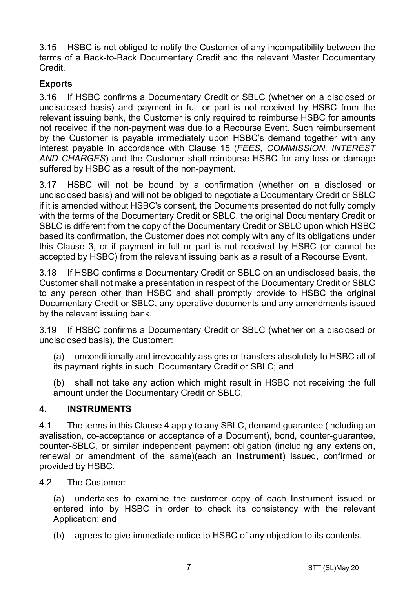3.15 HSBC is not obliged to notify the Customer of any incompatibility between the terms of a Back-to-Back Documentary Credit and the relevant Master Documentary Credit.

## **Exports**

3.16 If HSBC confirms a Documentary Credit or SBLC (whether on a disclosed or undisclosed basis) and payment in full or part is not received by HSBC from the relevant issuing bank, the Customer is only required to reimburse HSBC for amounts not received if the non-payment was due to a Recourse Event. Such reimbursement by the Customer is payable immediately upon HSBC's demand together with any interest payable in accordance with Clause 15 (*FEES, COMMISSION, INTEREST AND CHARGES*) and the Customer shall reimburse HSBC for any loss or damage suffered by HSBC as a result of the non-payment.

3.17 HSBC will not be bound by a confirmation (whether on a disclosed or undisclosed basis) and will not be obliged to negotiate a Documentary Credit or SBLC if it is amended without HSBC's consent, the Documents presented do not fully comply with the terms of the Documentary Credit or SBLC, the original Documentary Credit or SBLC is different from the copy of the Documentary Credit or SBLC upon which HSBC based its confirmation, the Customer does not comply with any of its obligations under this Clause 3, or if payment in full or part is not received by HSBC (or cannot be accepted by HSBC) from the relevant issuing bank as a result of a Recourse Event.

3.18 If HSBC confirms a Documentary Credit or SBLC on an undisclosed basis, the Customer shall not make a presentation in respect of the Documentary Credit or SBLC to any person other than HSBC and shall promptly provide to HSBC the original Documentary Credit or SBLC, any operative documents and any amendments issued by the relevant issuing bank.

3.19 If HSBC confirms a Documentary Credit or SBLC (whether on a disclosed or undisclosed basis), the Customer:

(a) unconditionally and irrevocably assigns or transfers absolutely to HSBC all of its payment rights in such Documentary Credit or SBLC; and

(b) shall not take any action which might result in HSBC not receiving the full amount under the Documentary Credit or SBLC.

## **4. INSTRUMENTS**

4.1 The terms in this Clause 4 apply to any SBLC, demand guarantee (including an avalisation, co-acceptance or acceptance of a Document), bond, counter-guarantee, counter-SBLC, or similar independent payment obligation (including any extension, renewal or amendment of the same)(each an **Instrument**) issued, confirmed or provided by HSBC.

4.2 The Customer:

(a) undertakes to examine the customer copy of each Instrument issued or entered into by HSBC in order to check its consistency with the relevant Application; and

(b) agrees to give immediate notice to HSBC of any objection to its contents.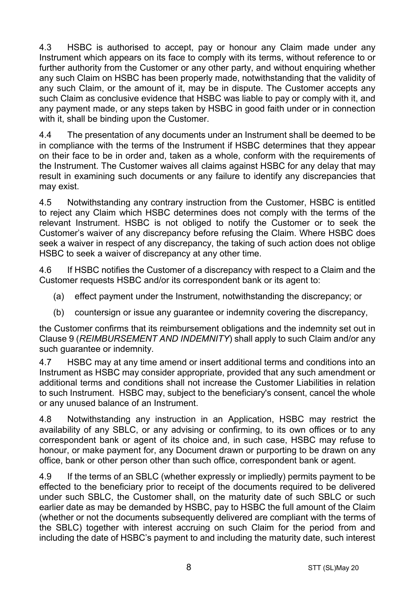4.3 HSBC is authorised to accept, pay or honour any Claim made under any Instrument which appears on its face to comply with its terms, without reference to or further authority from the Customer or any other party, and without enquiring whether any such Claim on HSBC has been properly made, notwithstanding that the validity of any such Claim, or the amount of it, may be in dispute. The Customer accepts any such Claim as conclusive evidence that HSBC was liable to pay or comply with it, and any payment made, or any steps taken by HSBC in good faith under or in connection with it, shall be binding upon the Customer.

4.4 The presentation of any documents under an Instrument shall be deemed to be in compliance with the terms of the Instrument if HSBC determines that they appear on their face to be in order and, taken as a whole, conform with the requirements of the Instrument. The Customer waives all claims against HSBC for any delay that may result in examining such documents or any failure to identify any discrepancies that may exist.

4.5 Notwithstanding any contrary instruction from the Customer, HSBC is entitled to reject any Claim which HSBC determines does not comply with the terms of the relevant Instrument. HSBC is not obliged to notify the Customer or to seek the Customer's waiver of any discrepancy before refusing the Claim. Where HSBC does seek a waiver in respect of any discrepancy, the taking of such action does not oblige HSBC to seek a waiver of discrepancy at any other time.

4.6 If HSBC notifies the Customer of a discrepancy with respect to a Claim and the Customer requests HSBC and/or its correspondent bank or its agent to:

- (a) effect payment under the Instrument, notwithstanding the discrepancy; or
- (b) countersign or issue any guarantee or indemnity covering the discrepancy,

the Customer confirms that its reimbursement obligations and the indemnity set out in Clause 9 (*REIMBURSEMENT AND INDEMNITY*) shall apply to such Claim and/or any such quarantee or indemnity.

4.7 HSBC may at any time amend or insert additional terms and conditions into an Instrument as HSBC may consider appropriate, provided that any such amendment or additional terms and conditions shall not increase the Customer Liabilities in relation to such Instrument. HSBC may, subject to the beneficiary's consent, cancel the whole or any unused balance of an Instrument.

4.8 Notwithstanding any instruction in an Application, HSBC may restrict the availability of any SBLC, or any advising or confirming, to its own offices or to any correspondent bank or agent of its choice and, in such case, HSBC may refuse to honour, or make payment for, any Document drawn or purporting to be drawn on any office, bank or other person other than such office, correspondent bank or agent.

4.9 If the terms of an SBLC (whether expressly or impliedly) permits payment to be effected to the beneficiary prior to receipt of the documents required to be delivered under such SBLC, the Customer shall, on the maturity date of such SBLC or such earlier date as may be demanded by HSBC, pay to HSBC the full amount of the Claim (whether or not the documents subsequently delivered are compliant with the terms of the SBLC) together with interest accruing on such Claim for the period from and including the date of HSBC's payment to and including the maturity date, such interest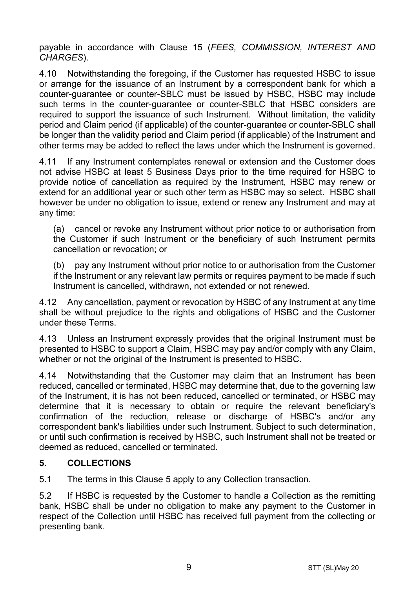payable in accordance with Clause 15 (*FEES, COMMISSION, INTEREST AND CHARGES*).

4.10 Notwithstanding the foregoing, if the Customer has requested HSBC to issue or arrange for the issuance of an Instrument by a correspondent bank for which a counter-guarantee or counter-SBLC must be issued by HSBC, HSBC may include such terms in the counter-guarantee or counter-SBLC that HSBC considers are required to support the issuance of such Instrument. Without limitation, the validity period and Claim period (if applicable) of the counter-guarantee or counter-SBLC shall be longer than the validity period and Claim period (if applicable) of the Instrument and other terms may be added to reflect the laws under which the Instrument is governed.

4.11 If any Instrument contemplates renewal or extension and the Customer does not advise HSBC at least 5 Business Days prior to the time required for HSBC to provide notice of cancellation as required by the Instrument, HSBC may renew or extend for an additional year or such other term as HSBC may so select. HSBC shall however be under no obligation to issue, extend or renew any Instrument and may at any time:

(a) cancel or revoke any Instrument without prior notice to or authorisation from the Customer if such Instrument or the beneficiary of such Instrument permits cancellation or revocation; or

(b) pay any Instrument without prior notice to or authorisation from the Customer if the Instrument or any relevant law permits or requires payment to be made if such Instrument is cancelled, withdrawn, not extended or not renewed.

4.12 Any cancellation, payment or revocation by HSBC of any Instrument at any time shall be without prejudice to the rights and obligations of HSBC and the Customer under these Terms.

4.13 Unless an Instrument expressly provides that the original Instrument must be presented to HSBC to support a Claim, HSBC may pay and/or comply with any Claim, whether or not the original of the Instrument is presented to HSBC.

4.14 Notwithstanding that the Customer may claim that an Instrument has been reduced, cancelled or terminated, HSBC may determine that, due to the governing law of the Instrument, it is has not been reduced, cancelled or terminated, or HSBC may determine that it is necessary to obtain or require the relevant beneficiary's confirmation of the reduction, release or discharge of HSBC's and/or any correspondent bank's liabilities under such Instrument. Subject to such determination, or until such confirmation is received by HSBC, such Instrument shall not be treated or deemed as reduced, cancelled or terminated.

## **5. COLLECTIONS**

5.1 The terms in this Clause 5 apply to any Collection transaction.

5.2 If HSBC is requested by the Customer to handle a Collection as the remitting bank, HSBC shall be under no obligation to make any payment to the Customer in respect of the Collection until HSBC has received full payment from the collecting or presenting bank.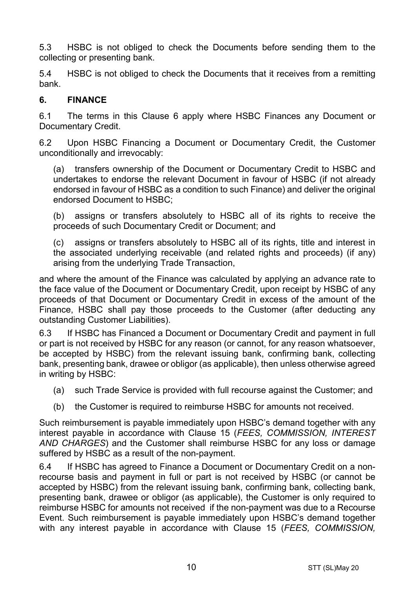5.3 HSBC is not obliged to check the Documents before sending them to the collecting or presenting bank.

5.4 HSBC is not obliged to check the Documents that it receives from a remitting bank.

#### **6. FINANCE**

6.1 The terms in this Clause 6 apply where HSBC Finances any Document or Documentary Credit.

6.2 Upon HSBC Financing a Document or Documentary Credit, the Customer unconditionally and irrevocably:

(a) transfers ownership of the Document or Documentary Credit to HSBC and undertakes to endorse the relevant Document in favour of HSBC (if not already endorsed in favour of HSBC as a condition to such Finance) and deliver the original endorsed Document to HSBC;

(b) assigns or transfers absolutely to HSBC all of its rights to receive the proceeds of such Documentary Credit or Document; and

(c) assigns or transfers absolutely to HSBC all of its rights, title and interest in the associated underlying receivable (and related rights and proceeds) (if any) arising from the underlying Trade Transaction,

and where the amount of the Finance was calculated by applying an advance rate to the face value of the Document or Documentary Credit, upon receipt by HSBC of any proceeds of that Document or Documentary Credit in excess of the amount of the Finance, HSBC shall pay those proceeds to the Customer (after deducting any outstanding Customer Liabilities).

6.3 If HSBC has Financed a Document or Documentary Credit and payment in full or part is not received by HSBC for any reason (or cannot, for any reason whatsoever, be accepted by HSBC) from the relevant issuing bank, confirming bank, collecting bank, presenting bank, drawee or obligor (as applicable), then unless otherwise agreed in writing by HSBC:

- (a) such Trade Service is provided with full recourse against the Customer; and
- (b) the Customer is required to reimburse HSBC for amounts not received.

Such reimbursement is payable immediately upon HSBC's demand together with any interest payable in accordance with Clause 15 (*FEES, COMMISSION, INTEREST AND CHARGES*) and the Customer shall reimburse HSBC for any loss or damage suffered by HSBC as a result of the non-payment.

6.4 If HSBC has agreed to Finance a Document or Documentary Credit on a nonrecourse basis and payment in full or part is not received by HSBC (or cannot be accepted by HSBC) from the relevant issuing bank, confirming bank, collecting bank, presenting bank, drawee or obligor (as applicable), the Customer is only required to reimburse HSBC for amounts not received if the non-payment was due to a Recourse Event. Such reimbursement is payable immediately upon HSBC's demand together with any interest payable in accordance with Clause 15 (*FEES, COMMISSION,*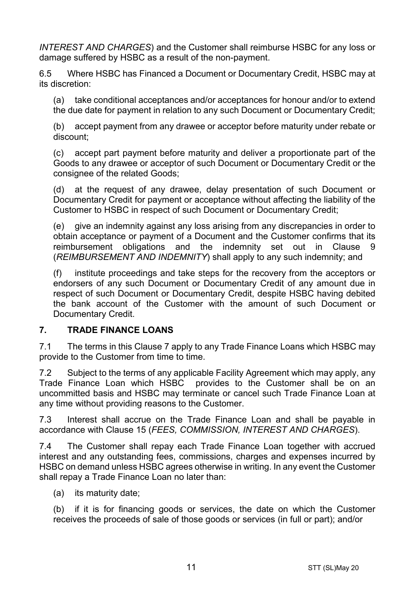*INTEREST AND CHARGES*) and the Customer shall reimburse HSBC for any loss or damage suffered by HSBC as a result of the non-payment.

6.5 Where HSBC has Financed a Document or Documentary Credit, HSBC may at its discretion:

(a) take conditional acceptances and/or acceptances for honour and/or to extend the due date for payment in relation to any such Document or Documentary Credit;

(b) accept payment from any drawee or acceptor before maturity under rebate or discount;

(c) accept part payment before maturity and deliver a proportionate part of the Goods to any drawee or acceptor of such Document or Documentary Credit or the consignee of the related Goods;

(d) at the request of any drawee, delay presentation of such Document or Documentary Credit for payment or acceptance without affecting the liability of the Customer to HSBC in respect of such Document or Documentary Credit;

(e) give an indemnity against any loss arising from any discrepancies in order to obtain acceptance or payment of a Document and the Customer confirms that its reimbursement obligations and the indemnity set out in Clause 9 (*REIMBURSEMENT AND INDEMNITY*) shall apply to any such indemnity; and

(f) institute proceedings and take steps for the recovery from the acceptors or endorsers of any such Document or Documentary Credit of any amount due in respect of such Document or Documentary Credit, despite HSBC having debited the bank account of the Customer with the amount of such Document or Documentary Credit.

## **7. TRADE FINANCE LOANS**

7.1 The terms in this Clause 7 apply to any Trade Finance Loans which HSBC may provide to the Customer from time to time.

7.2 Subject to the terms of any applicable Facility Agreement which may apply, any Trade Finance Loan which HSBC provides to the Customer shall be on an uncommitted basis and HSBC may terminate or cancel such Trade Finance Loan at any time without providing reasons to the Customer.

7.3 Interest shall accrue on the Trade Finance Loan and shall be payable in accordance with Clause 15 (*FEES, COMMISSION, INTEREST AND CHARGES*).

7.4 The Customer shall repay each Trade Finance Loan together with accrued interest and any outstanding fees, commissions, charges and expenses incurred by HSBC on demand unless HSBC agrees otherwise in writing. In any event the Customer shall repay a Trade Finance Loan no later than:

(a) its maturity date;

(b) if it is for financing goods or services, the date on which the Customer receives the proceeds of sale of those goods or services (in full or part); and/or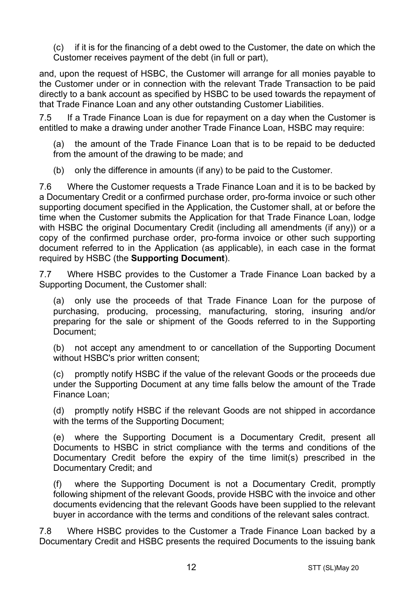(c) if it is for the financing of a debt owed to the Customer, the date on which the Customer receives payment of the debt (in full or part),

and, upon the request of HSBC, the Customer will arrange for all monies payable to the Customer under or in connection with the relevant Trade Transaction to be paid directly to a bank account as specified by HSBC to be used towards the repayment of that Trade Finance Loan and any other outstanding Customer Liabilities.

7.5 If a Trade Finance Loan is due for repayment on a day when the Customer is entitled to make a drawing under another Trade Finance Loan, HSBC may require:

(a) the amount of the Trade Finance Loan that is to be repaid to be deducted from the amount of the drawing to be made; and

(b) only the difference in amounts (if any) to be paid to the Customer.

7.6 Where the Customer requests a Trade Finance Loan and it is to be backed by a Documentary Credit or a confirmed purchase order, pro-forma invoice or such other supporting document specified in the Application, the Customer shall, at or before the time when the Customer submits the Application for that Trade Finance Loan, lodge with HSBC the original Documentary Credit (including all amendments (if any)) or a copy of the confirmed purchase order, pro-forma invoice or other such supporting document referred to in the Application (as applicable), in each case in the format required by HSBC (the **Supporting Document**).

7.7 Where HSBC provides to the Customer a Trade Finance Loan backed by a Supporting Document, the Customer shall:

(a) only use the proceeds of that Trade Finance Loan for the purpose of purchasing, producing, processing, manufacturing, storing, insuring and/or preparing for the sale or shipment of the Goods referred to in the Supporting Document;

(b) not accept any amendment to or cancellation of the Supporting Document without HSBC's prior written consent;

(c) promptly notify HSBC if the value of the relevant Goods or the proceeds due under the Supporting Document at any time falls below the amount of the Trade Finance Loan;

(d) promptly notify HSBC if the relevant Goods are not shipped in accordance with the terms of the Supporting Document;

(e) where the Supporting Document is a Documentary Credit, present all Documents to HSBC in strict compliance with the terms and conditions of the Documentary Credit before the expiry of the time limit(s) prescribed in the Documentary Credit; and

(f) where the Supporting Document is not a Documentary Credit, promptly following shipment of the relevant Goods, provide HSBC with the invoice and other documents evidencing that the relevant Goods have been supplied to the relevant buyer in accordance with the terms and conditions of the relevant sales contract.

7.8 Where HSBC provides to the Customer a Trade Finance Loan backed by a Documentary Credit and HSBC presents the required Documents to the issuing bank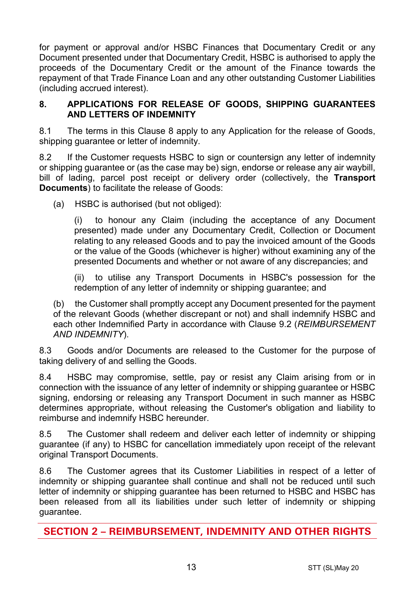for payment or approval and/or HSBC Finances that Documentary Credit or any Document presented under that Documentary Credit, HSBC is authorised to apply the proceeds of the Documentary Credit or the amount of the Finance towards the repayment of that Trade Finance Loan and any other outstanding Customer Liabilities (including accrued interest).

#### **8. APPLICATIONS FOR RELEASE OF GOODS, SHIPPING GUARANTEES AND LETTERS OF INDEMNITY**

8.1 The terms in this Clause 8 apply to any Application for the release of Goods, shipping guarantee or letter of indemnity.

8.2 If the Customer requests HSBC to sign or countersign any letter of indemnity or shipping guarantee or (as the case may be) sign, endorse or release any air waybill, bill of lading, parcel post receipt or delivery order (collectively, the **Transport Documents**) to facilitate the release of Goods:

(a) HSBC is authorised (but not obliged):

(i) to honour any Claim (including the acceptance of any Document presented) made under any Documentary Credit, Collection or Document relating to any released Goods and to pay the invoiced amount of the Goods or the value of the Goods (whichever is higher) without examining any of the presented Documents and whether or not aware of any discrepancies; and

(ii) to utilise any Transport Documents in HSBC's possession for the redemption of any letter of indemnity or shipping guarantee; and

(b) the Customer shall promptly accept any Document presented for the payment of the relevant Goods (whether discrepant or not) and shall indemnify HSBC and each other Indemnified Party in accordance with Clause 9.2 (*REIMBURSEMENT AND INDEMNITY*).

8.3 Goods and/or Documents are released to the Customer for the purpose of taking delivery of and selling the Goods.

8.4 HSBC may compromise, settle, pay or resist any Claim arising from or in connection with the issuance of any letter of indemnity or shipping guarantee or HSBC signing, endorsing or releasing any Transport Document in such manner as HSBC determines appropriate, without releasing the Customer's obligation and liability to reimburse and indemnify HSBC hereunder.

8.5 The Customer shall redeem and deliver each letter of indemnity or shipping guarantee (if any) to HSBC for cancellation immediately upon receipt of the relevant original Transport Documents.

8.6 The Customer agrees that its Customer Liabilities in respect of a letter of indemnity or shipping guarantee shall continue and shall not be reduced until such letter of indemnity or shipping guarantee has been returned to HSBC and HSBC has been released from all its liabilities under such letter of indemnity or shipping guarantee.

**SECTION 2 – REIMBURSEMENT, INDEMNITY AND OTHER RIGHTS**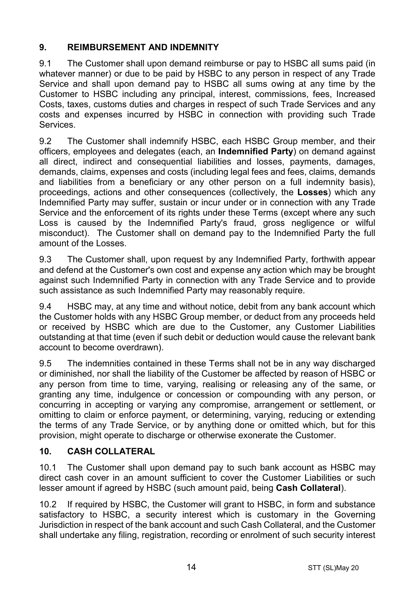# **9. REIMBURSEMENT AND INDEMNITY**

9.1 The Customer shall upon demand reimburse or pay to HSBC all sums paid (in whatever manner) or due to be paid by HSBC to any person in respect of any Trade Service and shall upon demand pay to HSBC all sums owing at any time by the Customer to HSBC including any principal, interest, commissions, fees, Increased Costs, taxes, customs duties and charges in respect of such Trade Services and any costs and expenses incurred by HSBC in connection with providing such Trade Services.

9.2 The Customer shall indemnify HSBC, each HSBC Group member, and their officers, employees and delegates (each, an **Indemnified Party**) on demand against all direct, indirect and consequential liabilities and losses, payments, damages, demands, claims, expenses and costs (including legal fees and fees, claims, demands and liabilities from a beneficiary or any other person on a full indemnity basis), proceedings, actions and other consequences (collectively, the **Losses**) which any Indemnified Party may suffer, sustain or incur under or in connection with any Trade Service and the enforcement of its rights under these Terms (except where any such Loss is caused by the Indemnified Party's fraud, gross negligence or wilful misconduct). The Customer shall on demand pay to the Indemnified Party the full amount of the Losses.

9.3 The Customer shall, upon request by any Indemnified Party, forthwith appear and defend at the Customer's own cost and expense any action which may be brought against such Indemnified Party in connection with any Trade Service and to provide such assistance as such Indemnified Party may reasonably require.

9.4 HSBC may, at any time and without notice, debit from any bank account which the Customer holds with any HSBC Group member, or deduct from any proceeds held or received by HSBC which are due to the Customer, any Customer Liabilities outstanding at that time (even if such debit or deduction would cause the relevant bank account to become overdrawn).

9.5 The indemnities contained in these Terms shall not be in any way discharged or diminished, nor shall the liability of the Customer be affected by reason of HSBC or any person from time to time, varying, realising or releasing any of the same, or granting any time, indulgence or concession or compounding with any person, or concurring in accepting or varying any compromise, arrangement or settlement, or omitting to claim or enforce payment, or determining, varying, reducing or extending the terms of any Trade Service, or by anything done or omitted which, but for this provision, might operate to discharge or otherwise exonerate the Customer.

## **10. CASH COLLATERAL**

10.1 The Customer shall upon demand pay to such bank account as HSBC may direct cash cover in an amount sufficient to cover the Customer Liabilities or such lesser amount if agreed by HSBC (such amount paid, being **Cash Collateral**).

10.2 If required by HSBC, the Customer will grant to HSBC, in form and substance satisfactory to HSBC, a security interest which is customary in the Governing Jurisdiction in respect of the bank account and such Cash Collateral, and the Customer shall undertake any filing, registration, recording or enrolment of such security interest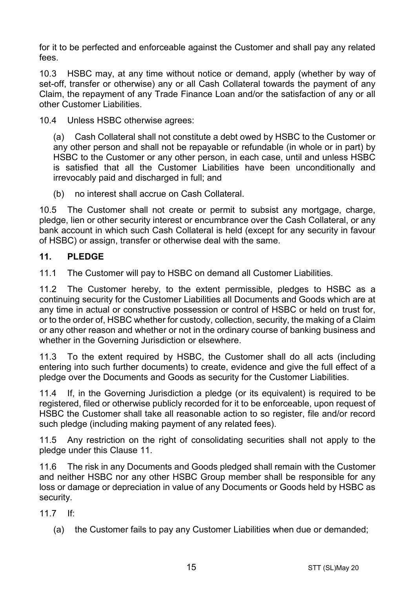for it to be perfected and enforceable against the Customer and shall pay any related fees.

10.3 HSBC may, at any time without notice or demand, apply (whether by way of set-off, transfer or otherwise) any or all Cash Collateral towards the payment of any Claim, the repayment of any Trade Finance Loan and/or the satisfaction of any or all other Customer Liabilities.

10.4 Unless HSBC otherwise agrees:

(a) Cash Collateral shall not constitute a debt owed by HSBC to the Customer or any other person and shall not be repayable or refundable (in whole or in part) by HSBC to the Customer or any other person, in each case, until and unless HSBC is satisfied that all the Customer Liabilities have been unconditionally and irrevocably paid and discharged in full; and

(b) no interest shall accrue on Cash Collateral.

10.5 The Customer shall not create or permit to subsist any mortgage, charge, pledge, lien or other security interest or encumbrance over the Cash Collateral, or any bank account in which such Cash Collateral is held (except for any security in favour of HSBC) or assign, transfer or otherwise deal with the same.

## **11. PLEDGE**

11.1 The Customer will pay to HSBC on demand all Customer Liabilities.

11.2 The Customer hereby, to the extent permissible, pledges to HSBC as a continuing security for the Customer Liabilities all Documents and Goods which are at any time in actual or constructive possession or control of HSBC or held on trust for, or to the order of, HSBC whether for custody, collection, security, the making of a Claim or any other reason and whether or not in the ordinary course of banking business and whether in the Governing Jurisdiction or elsewhere.

11.3 To the extent required by HSBC, the Customer shall do all acts (including entering into such further documents) to create, evidence and give the full effect of a pledge over the Documents and Goods as security for the Customer Liabilities.

11.4 If, in the Governing Jurisdiction a pledge (or its equivalent) is required to be registered, filed or otherwise publicly recorded for it to be enforceable, upon request of HSBC the Customer shall take all reasonable action to so register, file and/or record such pledge (including making payment of any related fees).

11.5 Any restriction on the right of consolidating securities shall not apply to the pledge under this Clause 11.

11.6 The risk in any Documents and Goods pledged shall remain with the Customer and neither HSBC nor any other HSBC Group member shall be responsible for any loss or damage or depreciation in value of any Documents or Goods held by HSBC as security.

11.7 If:

(a) the Customer fails to pay any Customer Liabilities when due or demanded;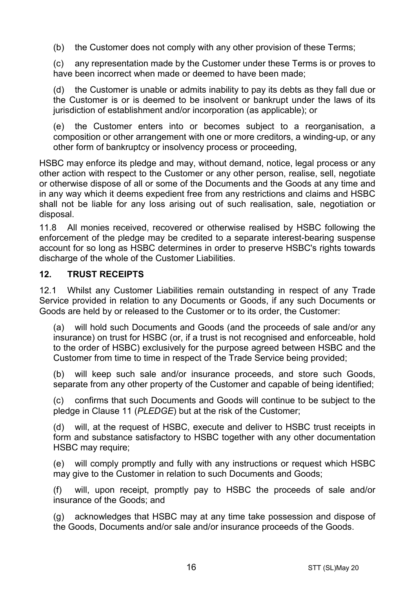(b) the Customer does not comply with any other provision of these Terms;

(c) any representation made by the Customer under these Terms is or proves to have been incorrect when made or deemed to have been made;

(d) the Customer is unable or admits inability to pay its debts as they fall due or the Customer is or is deemed to be insolvent or bankrupt under the laws of its jurisdiction of establishment and/or incorporation (as applicable); or

(e) the Customer enters into or becomes subject to a reorganisation, a composition or other arrangement with one or more creditors, a winding-up, or any other form of bankruptcy or insolvency process or proceeding,

HSBC may enforce its pledge and may, without demand, notice, legal process or any other action with respect to the Customer or any other person, realise, sell, negotiate or otherwise dispose of all or some of the Documents and the Goods at any time and in any way which it deems expedient free from any restrictions and claims and HSBC shall not be liable for any loss arising out of such realisation, sale, negotiation or disposal.

11.8 All monies received, recovered or otherwise realised by HSBC following the enforcement of the pledge may be credited to a separate interest-bearing suspense account for so long as HSBC determines in order to preserve HSBC's rights towards discharge of the whole of the Customer Liabilities.

## **12. TRUST RECEIPTS**

12.1 Whilst any Customer Liabilities remain outstanding in respect of any Trade Service provided in relation to any Documents or Goods, if any such Documents or Goods are held by or released to the Customer or to its order, the Customer:

(a) will hold such Documents and Goods (and the proceeds of sale and/or any insurance) on trust for HSBC (or, if a trust is not recognised and enforceable, hold to the order of HSBC) exclusively for the purpose agreed between HSBC and the Customer from time to time in respect of the Trade Service being provided;

(b) will keep such sale and/or insurance proceeds, and store such Goods, separate from any other property of the Customer and capable of being identified;

(c) confirms that such Documents and Goods will continue to be subject to the pledge in Clause 11 (*PLEDGE*) but at the risk of the Customer;

(d) will, at the request of HSBC, execute and deliver to HSBC trust receipts in form and substance satisfactory to HSBC together with any other documentation HSBC may require;

(e) will comply promptly and fully with any instructions or request which HSBC may give to the Customer in relation to such Documents and Goods;

(f) will, upon receipt, promptly pay to HSBC the proceeds of sale and/or insurance of the Goods; and

(g) acknowledges that HSBC may at any time take possession and dispose of the Goods, Documents and/or sale and/or insurance proceeds of the Goods.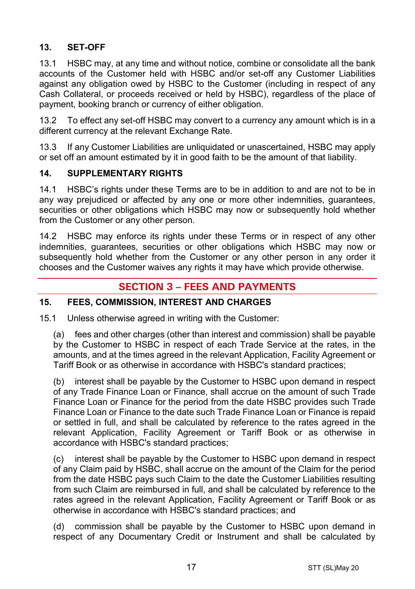# **13. SET-OFF**

13.1 HSBC may, at any time and without notice, combine or consolidate all the bank accounts of the Customer held with HSBC and/or set-off any Customer Liabilities against any obligation owed by HSBC to the Customer (including in respect of any Cash Collateral, or proceeds received or held by HSBC), regardless of the place of payment, booking branch or currency of either obligation.

13.2 To effect any set-off HSBC may convert to a currency any amount which is in a different currency at the relevant Exchange Rate.

13.3 If any Customer Liabilities are unliquidated or unascertained, HSBC may apply or set off an amount estimated by it in good faith to be the amount of that liability.

## **14. SUPPLEMENTARY RIGHTS**

14.1 HSBC's rights under these Terms are to be in addition to and are not to be in any way prejudiced or affected by any one or more other indemnities, guarantees, securities or other obligations which HSBC may now or subsequently hold whether from the Customer or any other person.

14.2 HSBC may enforce its rights under these Terms or in respect of any other indemnities, guarantees, securities or other obligations which HSBC may now or subsequently hold whether from the Customer or any other person in any order it chooses and the Customer waives any rights it may have which provide otherwise.

# **SECTION 3 – FEES AND PAYMENTS**

## **15. FEES, COMMISSION, INTEREST AND CHARGES**

15.1 Unless otherwise agreed in writing with the Customer:

(a) fees and other charges (other than interest and commission) shall be payable by the Customer to HSBC in respect of each Trade Service at the rates, in the amounts, and at the times agreed in the relevant Application, Facility Agreement or Tariff Book or as otherwise in accordance with HSBC's standard practices;

(b) interest shall be payable by the Customer to HSBC upon demand in respect of any Trade Finance Loan or Finance, shall accrue on the amount of such Trade Finance Loan or Finance for the period from the date HSBC provides such Trade Finance Loan or Finance to the date such Trade Finance Loan or Finance is repaid or settled in full, and shall be calculated by reference to the rates agreed in the relevant Application, Facility Agreement or Tariff Book or as otherwise in accordance with HSBC's standard practices;

(c) interest shall be payable by the Customer to HSBC upon demand in respect of any Claim paid by HSBC, shall accrue on the amount of the Claim for the period from the date HSBC pays such Claim to the date the Customer Liabilities resulting from such Claim are reimbursed in full, and shall be calculated by reference to the rates agreed in the relevant Application, Facility Agreement or Tariff Book or as otherwise in accordance with HSBC's standard practices; and

(d) commission shall be payable by the Customer to HSBC upon demand in respect of any Documentary Credit or Instrument and shall be calculated by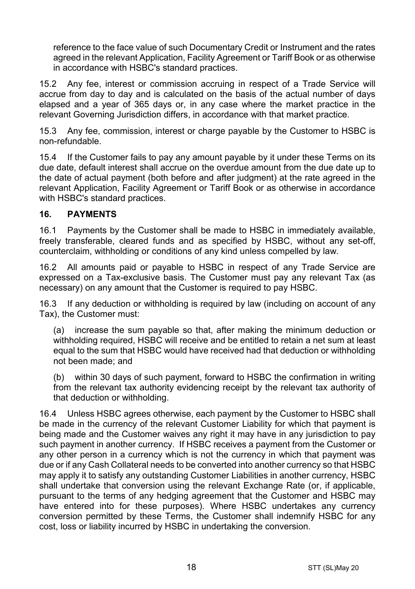reference to the face value of such Documentary Credit or Instrument and the rates agreed in the relevant Application, Facility Agreement or Tariff Book or as otherwise in accordance with HSBC's standard practices.

15.2 Any fee, interest or commission accruing in respect of a Trade Service will accrue from day to day and is calculated on the basis of the actual number of days elapsed and a year of 365 days or, in any case where the market practice in the relevant Governing Jurisdiction differs, in accordance with that market practice.

15.3 Any fee, commission, interest or charge payable by the Customer to HSBC is non-refundable.

15.4 If the Customer fails to pay any amount payable by it under these Terms on its due date, default interest shall accrue on the overdue amount from the due date up to the date of actual payment (both before and after judgment) at the rate agreed in the relevant Application, Facility Agreement or Tariff Book or as otherwise in accordance with HSBC's standard practices.

## **16. PAYMENTS**

16.1 Payments by the Customer shall be made to HSBC in immediately available, freely transferable, cleared funds and as specified by HSBC, without any set-off, counterclaim, withholding or conditions of any kind unless compelled by law.

16.2 All amounts paid or payable to HSBC in respect of any Trade Service are expressed on a Tax-exclusive basis. The Customer must pay any relevant Tax (as necessary) on any amount that the Customer is required to pay HSBC.

16.3 If any deduction or withholding is required by law (including on account of any Tax), the Customer must:

(a) increase the sum payable so that, after making the minimum deduction or withholding required, HSBC will receive and be entitled to retain a net sum at least equal to the sum that HSBC would have received had that deduction or withholding not been made; and

(b) within 30 days of such payment, forward to HSBC the confirmation in writing from the relevant tax authority evidencing receipt by the relevant tax authority of that deduction or withholding.

16.4 Unless HSBC agrees otherwise, each payment by the Customer to HSBC shall be made in the currency of the relevant Customer Liability for which that payment is being made and the Customer waives any right it may have in any jurisdiction to pay such payment in another currency. If HSBC receives a payment from the Customer or any other person in a currency which is not the currency in which that payment was due or if any Cash Collateral needs to be converted into another currency so that HSBC may apply it to satisfy any outstanding Customer Liabilities in another currency, HSBC shall undertake that conversion using the relevant Exchange Rate (or, if applicable, pursuant to the terms of any hedging agreement that the Customer and HSBC may have entered into for these purposes). Where HSBC undertakes any currency conversion permitted by these Terms, the Customer shall indemnify HSBC for any cost, loss or liability incurred by HSBC in undertaking the conversion.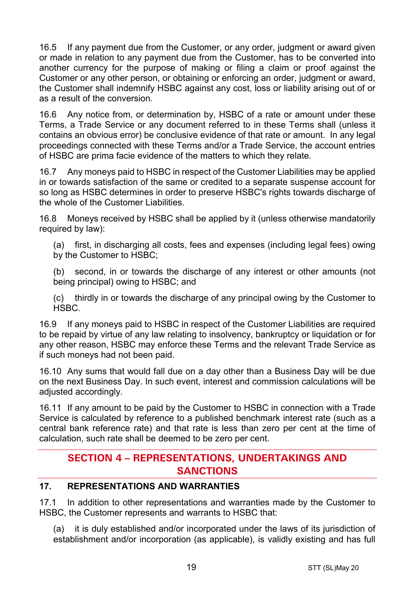16.5 If any payment due from the Customer, or any order, judgment or award given or made in relation to any payment due from the Customer, has to be converted into another currency for the purpose of making or filing a claim or proof against the Customer or any other person, or obtaining or enforcing an order, judgment or award. the Customer shall indemnify HSBC against any cost, loss or liability arising out of or as a result of the conversion.

16.6 Any notice from, or determination by, HSBC of a rate or amount under these Terms, a Trade Service or any document referred to in these Terms shall (unless it contains an obvious error) be conclusive evidence of that rate or amount. In any legal proceedings connected with these Terms and/or a Trade Service, the account entries of HSBC are prima facie evidence of the matters to which they relate.

16.7 Any moneys paid to HSBC in respect of the Customer Liabilities may be applied in or towards satisfaction of the same or credited to a separate suspense account for so long as HSBC determines in order to preserve HSBC's rights towards discharge of the whole of the Customer Liabilities.

16.8 Moneys received by HSBC shall be applied by it (unless otherwise mandatorily required by law):

(a) first, in discharging all costs, fees and expenses (including legal fees) owing by the Customer to HSBC;

(b) second, in or towards the discharge of any interest or other amounts (not being principal) owing to HSBC; and

(c) thirdly in or towards the discharge of any principal owing by the Customer to HSBC.

16.9 If any moneys paid to HSBC in respect of the Customer Liabilities are required to be repaid by virtue of any law relating to insolvency, bankruptcy or liquidation or for any other reason, HSBC may enforce these Terms and the relevant Trade Service as if such moneys had not been paid.

16.10 Any sums that would fall due on a day other than a Business Day will be due on the next Business Day. In such event, interest and commission calculations will be adjusted accordingly.

16.11 If any amount to be paid by the Customer to HSBC in connection with a Trade Service is calculated by reference to a published benchmark interest rate (such as a central bank reference rate) and that rate is less than zero per cent at the time of calculation, such rate shall be deemed to be zero per cent.

# **SECTION 4 – REPRESENTATIONS, UNDERTAKINGS AND SANCTIONS**

# **17. REPRESENTATIONS AND WARRANTIES**

17.1 In addition to other representations and warranties made by the Customer to HSBC, the Customer represents and warrants to HSBC that:

(a) it is duly established and/or incorporated under the laws of its jurisdiction of establishment and/or incorporation (as applicable), is validly existing and has full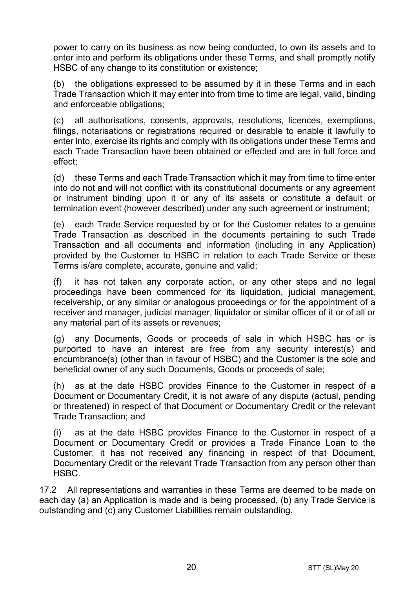power to carry on its business as now being conducted, to own its assets and to enter into and perform its obligations under these Terms, and shall promptly notify HSBC of any change to its constitution or existence;

(b) the obligations expressed to be assumed by it in these Terms and in each Trade Transaction which it may enter into from time to time are legal, valid, binding and enforceable obligations;

(c) all authorisations, consents, approvals, resolutions, licences, exemptions, filings, notarisations or registrations required or desirable to enable it lawfully to enter into, exercise its rights and comply with its obligations under these Terms and each Trade Transaction have been obtained or effected and are in full force and effect;

(d) these Terms and each Trade Transaction which it may from time to time enter into do not and will not conflict with its constitutional documents or any agreement or instrument binding upon it or any of its assets or constitute a default or termination event (however described) under any such agreement or instrument;

(e) each Trade Service requested by or for the Customer relates to a genuine Trade Transaction as described in the documents pertaining to such Trade Transaction and all documents and information (including in any Application) provided by the Customer to HSBC in relation to each Trade Service or these Terms is/are complete, accurate, genuine and valid;

(f) it has not taken any corporate action, or any other steps and no legal proceedings have been commenced for its liquidation, judicial management, receivership, or any similar or analogous proceedings or for the appointment of a receiver and manager, judicial manager, liquidator or similar officer of it or of all or any material part of its assets or revenues;

(g) any Documents, Goods or proceeds of sale in which HSBC has or is purported to have an interest are free from any security interest(s) and encumbrance(s) (other than in favour of HSBC) and the Customer is the sole and beneficial owner of any such Documents, Goods or proceeds of sale;

(h) as at the date HSBC provides Finance to the Customer in respect of a Document or Documentary Credit, it is not aware of any dispute (actual, pending or threatened) in respect of that Document or Documentary Credit or the relevant Trade Transaction; and

(i) as at the date HSBC provides Finance to the Customer in respect of a Document or Documentary Credit or provides a Trade Finance Loan to the Customer, it has not received any financing in respect of that Document, Documentary Credit or the relevant Trade Transaction from any person other than HSBC.

17.2 All representations and warranties in these Terms are deemed to be made on each day (a) an Application is made and is being processed, (b) any Trade Service is outstanding and (c) any Customer Liabilities remain outstanding.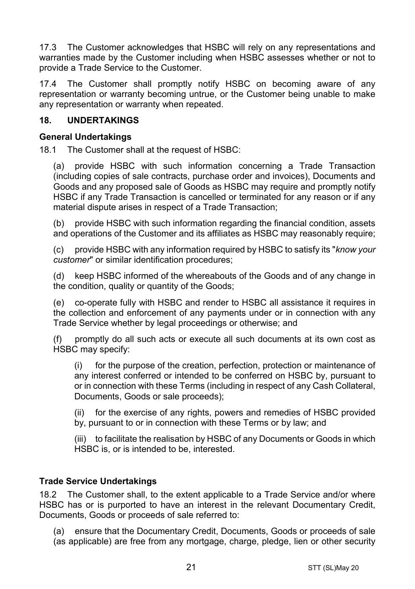17.3 The Customer acknowledges that HSBC will rely on any representations and warranties made by the Customer including when HSBC assesses whether or not to provide a Trade Service to the Customer.

17.4 The Customer shall promptly notify HSBC on becoming aware of any representation or warranty becoming untrue, or the Customer being unable to make any representation or warranty when repeated.

## **18. UNDERTAKINGS**

#### **General Undertakings**

18.1 The Customer shall at the request of HSBC:

(a) provide HSBC with such information concerning a Trade Transaction (including copies of sale contracts, purchase order and invoices), Documents and Goods and any proposed sale of Goods as HSBC may require and promptly notify HSBC if any Trade Transaction is cancelled or terminated for any reason or if any material dispute arises in respect of a Trade Transaction;

(b) provide HSBC with such information regarding the financial condition, assets and operations of the Customer and its affiliates as HSBC may reasonably require;

(c) provide HSBC with any information required by HSBC to satisfy its "*know your customer*" or similar identification procedures;

(d) keep HSBC informed of the whereabouts of the Goods and of any change in the condition, quality or quantity of the Goods;

(e) co-operate fully with HSBC and render to HSBC all assistance it requires in the collection and enforcement of any payments under or in connection with any Trade Service whether by legal proceedings or otherwise; and

(f) promptly do all such acts or execute all such documents at its own cost as HSBC may specify:

(i) for the purpose of the creation, perfection, protection or maintenance of any interest conferred or intended to be conferred on HSBC by, pursuant to or in connection with these Terms (including in respect of any Cash Collateral, Documents, Goods or sale proceeds);

(ii) for the exercise of any rights, powers and remedies of HSBC provided by, pursuant to or in connection with these Terms or by law; and

(iii) to facilitate the realisation by HSBC of any Documents or Goods in which HSBC is, or is intended to be, interested.

## **Trade Service Undertakings**

18.2 The Customer shall, to the extent applicable to a Trade Service and/or where HSBC has or is purported to have an interest in the relevant Documentary Credit, Documents, Goods or proceeds of sale referred to:

(a) ensure that the Documentary Credit, Documents, Goods or proceeds of sale (as applicable) are free from any mortgage, charge, pledge, lien or other security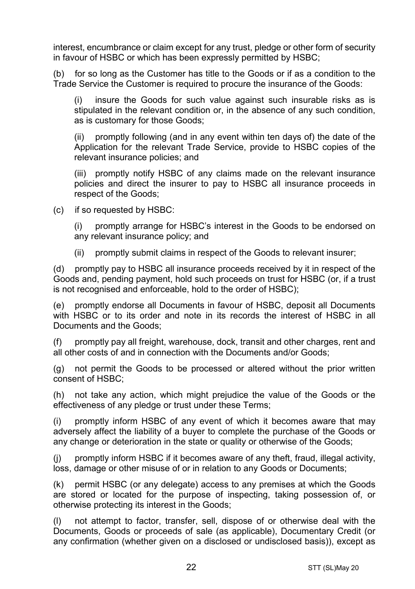interest, encumbrance or claim except for any trust, pledge or other form of security in favour of HSBC or which has been expressly permitted by HSBC;

(b) for so long as the Customer has title to the Goods or if as a condition to the Trade Service the Customer is required to procure the insurance of the Goods:

(i) insure the Goods for such value against such insurable risks as is stipulated in the relevant condition or, in the absence of any such condition, as is customary for those Goods;

(ii) promptly following (and in any event within ten days of) the date of the Application for the relevant Trade Service, provide to HSBC copies of the relevant insurance policies; and

(iii) promptly notify HSBC of any claims made on the relevant insurance policies and direct the insurer to pay to HSBC all insurance proceeds in respect of the Goods;

(c) if so requested by HSBC:

(i) promptly arrange for HSBC's interest in the Goods to be endorsed on any relevant insurance policy; and

(ii) promptly submit claims in respect of the Goods to relevant insurer;

(d) promptly pay to HSBC all insurance proceeds received by it in respect of the Goods and, pending payment, hold such proceeds on trust for HSBC (or, if a trust is not recognised and enforceable, hold to the order of HSBC);

(e) promptly endorse all Documents in favour of HSBC, deposit all Documents with HSBC or to its order and note in its records the interest of HSBC in all Documents and the Goods;

(f) promptly pay all freight, warehouse, dock, transit and other charges, rent and all other costs of and in connection with the Documents and/or Goods;

(g) not permit the Goods to be processed or altered without the prior written consent of HSBC;

(h) not take any action, which might prejudice the value of the Goods or the effectiveness of any pledge or trust under these Terms;

(i) promptly inform HSBC of any event of which it becomes aware that may adversely affect the liability of a buyer to complete the purchase of the Goods or any change or deterioration in the state or quality or otherwise of the Goods;

(j) promptly inform HSBC if it becomes aware of any theft, fraud, illegal activity, loss, damage or other misuse of or in relation to any Goods or Documents;

(k) permit HSBC (or any delegate) access to any premises at which the Goods are stored or located for the purpose of inspecting, taking possession of, or otherwise protecting its interest in the Goods;

(l) not attempt to factor, transfer, sell, dispose of or otherwise deal with the Documents, Goods or proceeds of sale (as applicable), Documentary Credit (or any confirmation (whether given on a disclosed or undisclosed basis)), except as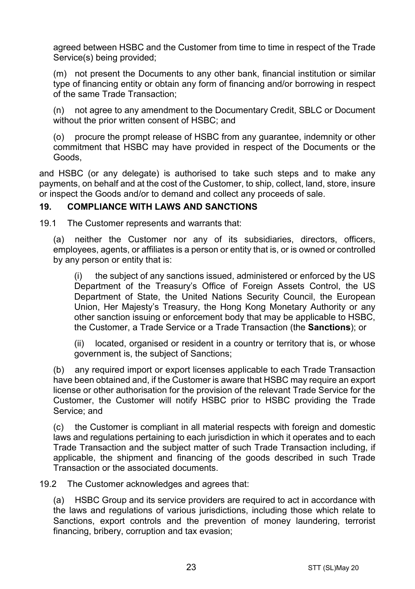agreed between HSBC and the Customer from time to time in respect of the Trade Service(s) being provided;

(m) not present the Documents to any other bank, financial institution or similar type of financing entity or obtain any form of financing and/or borrowing in respect of the same Trade Transaction;

(n) not agree to any amendment to the Documentary Credit, SBLC or Document without the prior written consent of HSBC; and

(o) procure the prompt release of HSBC from any guarantee, indemnity or other commitment that HSBC may have provided in respect of the Documents or the Goods,

and HSBC (or any delegate) is authorised to take such steps and to make any payments, on behalf and at the cost of the Customer, to ship, collect, land, store, insure or inspect the Goods and/or to demand and collect any proceeds of sale.

## **19. COMPLIANCE WITH LAWS AND SANCTIONS**

19.1 The Customer represents and warrants that:

(a) neither the Customer nor any of its subsidiaries, directors, officers, employees, agents, or affiliates is a person or entity that is, or is owned or controlled by any person or entity that is:

(i) the subject of any sanctions issued, administered or enforced by the US Department of the Treasury's Office of Foreign Assets Control, the US Department of State, the United Nations Security Council, the European Union, Her Majesty's Treasury, the Hong Kong Monetary Authority or any other sanction issuing or enforcement body that may be applicable to HSBC, the Customer, a Trade Service or a Trade Transaction (the **Sanctions**); or

(ii) located, organised or resident in a country or territory that is, or whose government is, the subject of Sanctions;

(b) any required import or export licenses applicable to each Trade Transaction have been obtained and, if the Customer is aware that HSBC may require an export license or other authorisation for the provision of the relevant Trade Service for the Customer, the Customer will notify HSBC prior to HSBC providing the Trade Service; and

(c) the Customer is compliant in all material respects with foreign and domestic laws and regulations pertaining to each jurisdiction in which it operates and to each Trade Transaction and the subject matter of such Trade Transaction including, if applicable, the shipment and financing of the goods described in such Trade Transaction or the associated documents.

19.2 The Customer acknowledges and agrees that:

(a) HSBC Group and its service providers are required to act in accordance with the laws and regulations of various jurisdictions, including those which relate to Sanctions, export controls and the prevention of money laundering, terrorist financing, bribery, corruption and tax evasion;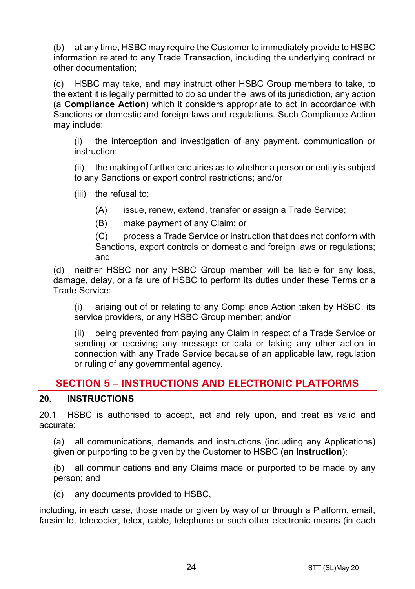(b) at any time, HSBC may require the Customer to immediately provide to HSBC information related to any Trade Transaction, including the underlying contract or other documentation;

(c) HSBC may take, and may instruct other HSBC Group members to take, to the extent it is legally permitted to do so under the laws of its jurisdiction, any action (a **Compliance Action**) which it considers appropriate to act in accordance with Sanctions or domestic and foreign laws and regulations. Such Compliance Action may include:

(i) the interception and investigation of any payment, communication or instruction;

(ii) the making of further enquiries as to whether a person or entity is subject to any Sanctions or export control restrictions; and/or

(iii) the refusal to:

(A) issue, renew, extend, transfer or assign a Trade Service;

(B) make payment of any Claim; or

(C) process a Trade Service or instruction that does not conform with Sanctions, export controls or domestic and foreign laws or regulations; and

(d) neither HSBC nor any HSBC Group member will be liable for any loss, damage, delay, or a failure of HSBC to perform its duties under these Terms or a Trade Service:

(i) arising out of or relating to any Compliance Action taken by HSBC, its service providers, or any HSBC Group member; and/or

(ii) being prevented from paying any Claim in respect of a Trade Service or sending or receiving any message or data or taking any other action in connection with any Trade Service because of an applicable law, regulation or ruling of any governmental agency.

# **SECTION 5 – INSTRUCTIONS AND ELECTRONIC PLATFORMS**

## **20. INSTRUCTIONS**

20.1 HSBC is authorised to accept, act and rely upon, and treat as valid and accurate:

(a) all communications, demands and instructions (including any Applications) given or purporting to be given by the Customer to HSBC (an **Instruction**);

(b) all communications and any Claims made or purported to be made by any person; and

(c) any documents provided to HSBC,

including, in each case, those made or given by way of or through a Platform, email, facsimile, telecopier, telex, cable, telephone or such other electronic means (in each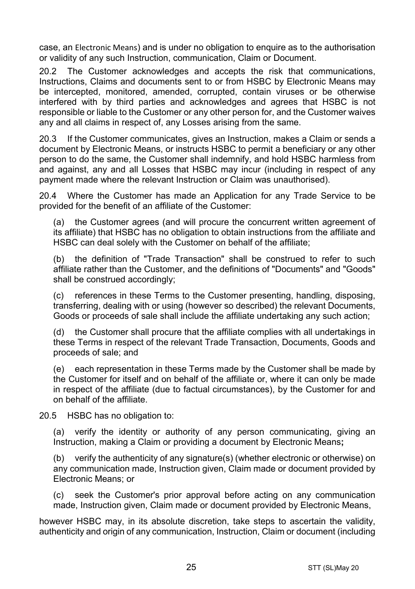case, an Electronic Means) and is under no obligation to enquire as to the authorisation or validity of any such Instruction, communication, Claim or Document.

20.2 The Customer acknowledges and accepts the risk that communications, Instructions, Claims and documents sent to or from HSBC by Electronic Means may be intercepted, monitored, amended, corrupted, contain viruses or be otherwise interfered with by third parties and acknowledges and agrees that HSBC is not responsible or liable to the Customer or any other person for, and the Customer waives any and all claims in respect of, any Losses arising from the same.

20.3 If the Customer communicates, gives an Instruction, makes a Claim or sends a document by Electronic Means, or instructs HSBC to permit a beneficiary or any other person to do the same, the Customer shall indemnify, and hold HSBC harmless from and against, any and all Losses that HSBC may incur (including in respect of any payment made where the relevant Instruction or Claim was unauthorised).

20.4 Where the Customer has made an Application for any Trade Service to be provided for the benefit of an affiliate of the Customer:

(a) the Customer agrees (and will procure the concurrent written agreement of its affiliate) that HSBC has no obligation to obtain instructions from the affiliate and HSBC can deal solely with the Customer on behalf of the affiliate;

(b) the definition of "Trade Transaction" shall be construed to refer to such affiliate rather than the Customer, and the definitions of "Documents" and "Goods" shall be construed accordingly;

(c) references in these Terms to the Customer presenting, handling, disposing, transferring, dealing with or using (however so described) the relevant Documents, Goods or proceeds of sale shall include the affiliate undertaking any such action;

(d) the Customer shall procure that the affiliate complies with all undertakings in these Terms in respect of the relevant Trade Transaction, Documents, Goods and proceeds of sale; and

(e) each representation in these Terms made by the Customer shall be made by the Customer for itself and on behalf of the affiliate or, where it can only be made in respect of the affiliate (due to factual circumstances), by the Customer for and on behalf of the affiliate.

20.5 HSBC has no obligation to:

(a) verify the identity or authority of any person communicating, giving an Instruction, making a Claim or providing a document by Electronic Means**;**

(b) verify the authenticity of any signature(s) (whether electronic or otherwise) on any communication made, Instruction given, Claim made or document provided by Electronic Means; or

(c) seek the Customer's prior approval before acting on any communication made, Instruction given, Claim made or document provided by Electronic Means,

however HSBC may, in its absolute discretion, take steps to ascertain the validity, authenticity and origin of any communication, Instruction, Claim or document (including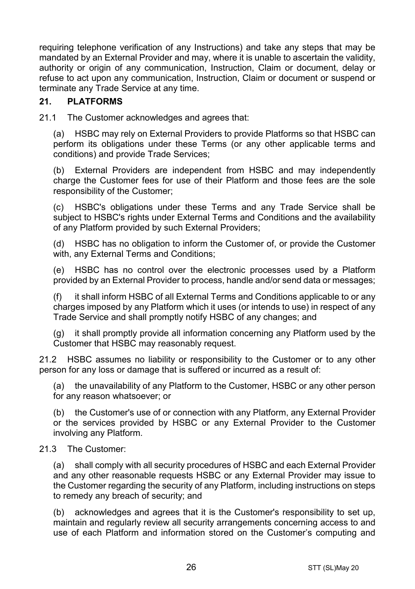requiring telephone verification of any Instructions) and take any steps that may be mandated by an External Provider and may, where it is unable to ascertain the validity, authority or origin of any communication, Instruction, Claim or document, delay or refuse to act upon any communication, Instruction, Claim or document or suspend or terminate any Trade Service at any time.

## **21. PLATFORMS**

21.1 The Customer acknowledges and agrees that:

(a) HSBC may rely on External Providers to provide Platforms so that HSBC can perform its obligations under these Terms (or any other applicable terms and conditions) and provide Trade Services;

(b) External Providers are independent from HSBC and may independently charge the Customer fees for use of their Platform and those fees are the sole responsibility of the Customer;

(c) HSBC's obligations under these Terms and any Trade Service shall be subject to HSBC's rights under External Terms and Conditions and the availability of any Platform provided by such External Providers;

(d) HSBC has no obligation to inform the Customer of, or provide the Customer with, any External Terms and Conditions;

(e) HSBC has no control over the electronic processes used by a Platform provided by an External Provider to process, handle and/or send data or messages;

(f) it shall inform HSBC of all External Terms and Conditions applicable to or any charges imposed by any Platform which it uses (or intends to use) in respect of any Trade Service and shall promptly notify HSBC of any changes; and

(g) it shall promptly provide all information concerning any Platform used by the Customer that HSBC may reasonably request.

21.2 HSBC assumes no liability or responsibility to the Customer or to any other person for any loss or damage that is suffered or incurred as a result of:

(a) the unavailability of any Platform to the Customer, HSBC or any other person for any reason whatsoever; or

(b) the Customer's use of or connection with any Platform, any External Provider or the services provided by HSBC or any External Provider to the Customer involving any Platform.

#### 21.3 The Customer:

(a) shall comply with all security procedures of HSBC and each External Provider and any other reasonable requests HSBC or any External Provider may issue to the Customer regarding the security of any Platform, including instructions on steps to remedy any breach of security; and

(b) acknowledges and agrees that it is the Customer's responsibility to set up, maintain and regularly review all security arrangements concerning access to and use of each Platform and information stored on the Customer's computing and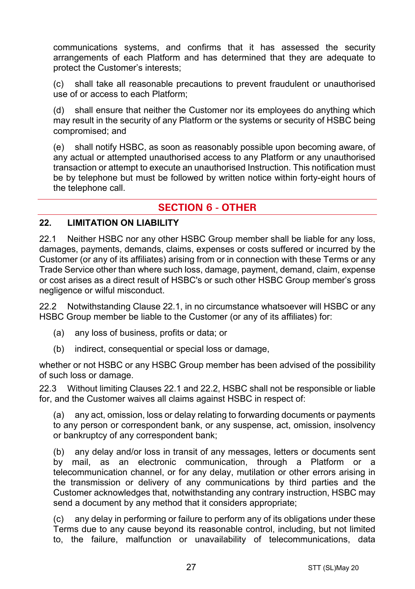communications systems, and confirms that it has assessed the security arrangements of each Platform and has determined that they are adequate to protect the Customer's interests;

(c) shall take all reasonable precautions to prevent fraudulent or unauthorised use of or access to each Platform;

(d) shall ensure that neither the Customer nor its employees do anything which may result in the security of any Platform or the systems or security of HSBC being compromised; and

(e) shall notify HSBC, as soon as reasonably possible upon becoming aware, of any actual or attempted unauthorised access to any Platform or any unauthorised transaction or attempt to execute an unauthorised Instruction. This notification must be by telephone but must be followed by written notice within forty-eight hours of the telephone call.

# **SECTION 6 - OTHER**

#### **22. LIMITATION ON LIABILITY**

22.1 Neither HSBC nor any other HSBC Group member shall be liable for any loss, damages, payments, demands, claims, expenses or costs suffered or incurred by the Customer (or any of its affiliates) arising from or in connection with these Terms or any Trade Service other than where such loss, damage, payment, demand, claim, expense or cost arises as a direct result of HSBC's or such other HSBC Group member's gross negligence or wilful misconduct.

22.2 Notwithstanding Clause 22.1, in no circumstance whatsoever will HSBC or any HSBC Group member be liable to the Customer (or any of its affiliates) for:

- (a) any loss of business, profits or data; or
- (b) indirect, consequential or special loss or damage,

whether or not HSBC or any HSBC Group member has been advised of the possibility of such loss or damage.

22.3 Without limiting Clauses 22.1 and 22.2, HSBC shall not be responsible or liable for, and the Customer waives all claims against HSBC in respect of:

(a) any act, omission, loss or delay relating to forwarding documents or payments to any person or correspondent bank, or any suspense, act, omission, insolvency or bankruptcy of any correspondent bank;

(b) any delay and/or loss in transit of any messages, letters or documents sent by mail, as an electronic communication, through a Platform or a telecommunication channel, or for any delay, mutilation or other errors arising in the transmission or delivery of any communications by third parties and the Customer acknowledges that, notwithstanding any contrary instruction, HSBC may send a document by any method that it considers appropriate;

(c) any delay in performing or failure to perform any of its obligations under these Terms due to any cause beyond its reasonable control, including, but not limited to, the failure, malfunction or unavailability of telecommunications, data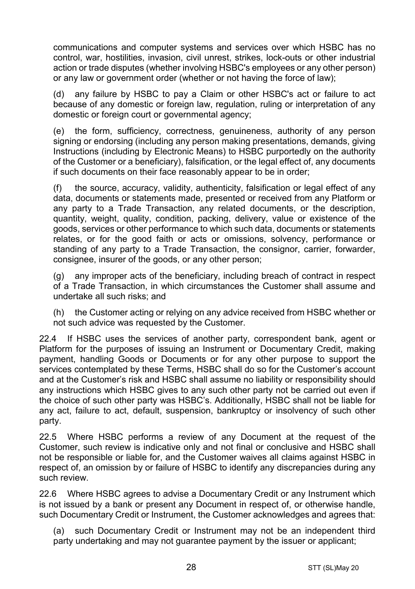communications and computer systems and services over which HSBC has no control, war, hostilities, invasion, civil unrest, strikes, lock-outs or other industrial action or trade disputes (whether involving HSBC's employees or any other person) or any law or government order (whether or not having the force of law);

(d) any failure by HSBC to pay a Claim or other HSBC's act or failure to act because of any domestic or foreign law, regulation, ruling or interpretation of any domestic or foreign court or governmental agency;

(e) the form, sufficiency, correctness, genuineness, authority of any person signing or endorsing (including any person making presentations, demands, giving Instructions (including by Electronic Means) to HSBC purportedly on the authority of the Customer or a beneficiary), falsification, or the legal effect of, any documents if such documents on their face reasonably appear to be in order;

(f) the source, accuracy, validity, authenticity, falsification or legal effect of any data, documents or statements made, presented or received from any Platform or any party to a Trade Transaction, any related documents, or the description, quantity, weight, quality, condition, packing, delivery, value or existence of the goods, services or other performance to which such data, documents or statements relates, or for the good faith or acts or omissions, solvency, performance or standing of any party to a Trade Transaction, the consignor, carrier, forwarder, consignee, insurer of the goods, or any other person;

(g) any improper acts of the beneficiary, including breach of contract in respect of a Trade Transaction, in which circumstances the Customer shall assume and undertake all such risks; and

(h) the Customer acting or relying on any advice received from HSBC whether or not such advice was requested by the Customer.

22.4 If HSBC uses the services of another party, correspondent bank, agent or Platform for the purposes of issuing an Instrument or Documentary Credit, making payment, handling Goods or Documents or for any other purpose to support the services contemplated by these Terms, HSBC shall do so for the Customer's account and at the Customer's risk and HSBC shall assume no liability or responsibility should any instructions which HSBC gives to any such other party not be carried out even if the choice of such other party was HSBC's. Additionally, HSBC shall not be liable for any act, failure to act, default, suspension, bankruptcy or insolvency of such other party.

22.5 Where HSBC performs a review of any Document at the request of the Customer, such review is indicative only and not final or conclusive and HSBC shall not be responsible or liable for, and the Customer waives all claims against HSBC in respect of, an omission by or failure of HSBC to identify any discrepancies during any such review.

22.6 Where HSBC agrees to advise a Documentary Credit or any Instrument which is not issued by a bank or present any Document in respect of, or otherwise handle, such Documentary Credit or Instrument, the Customer acknowledges and agrees that:

(a) such Documentary Credit or Instrument may not be an independent third party undertaking and may not guarantee payment by the issuer or applicant;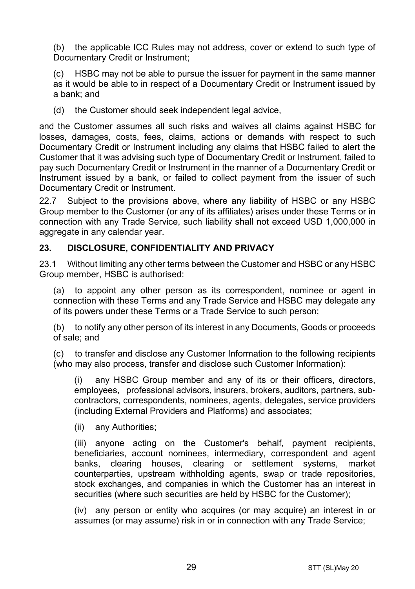(b) the applicable ICC Rules may not address, cover or extend to such type of Documentary Credit or Instrument;

(c) HSBC may not be able to pursue the issuer for payment in the same manner as it would be able to in respect of a Documentary Credit or Instrument issued by a bank; and

(d) the Customer should seek independent legal advice,

and the Customer assumes all such risks and waives all claims against HSBC for losses, damages, costs, fees, claims, actions or demands with respect to such Documentary Credit or Instrument including any claims that HSBC failed to alert the Customer that it was advising such type of Documentary Credit or Instrument, failed to pay such Documentary Credit or Instrument in the manner of a Documentary Credit or Instrument issued by a bank, or failed to collect payment from the issuer of such Documentary Credit or Instrument.

22.7 Subject to the provisions above, where any liability of HSBC or any HSBC Group member to the Customer (or any of its affiliates) arises under these Terms or in connection with any Trade Service, such liability shall not exceed USD 1,000,000 in aggregate in any calendar year.

## **23. DISCLOSURE, CONFIDENTIALITY AND PRIVACY**

23.1 Without limiting any other terms between the Customer and HSBC or any HSBC Group member, HSBC is authorised:

(a) to appoint any other person as its correspondent, nominee or agent in connection with these Terms and any Trade Service and HSBC may delegate any of its powers under these Terms or a Trade Service to such person;

(b) to notify any other person of its interest in any Documents, Goods or proceeds of sale; and

(c) to transfer and disclose any Customer Information to the following recipients (who may also process, transfer and disclose such Customer Information):

(i) any HSBC Group member and any of its or their officers, directors, employees, professional advisors, insurers, brokers, auditors, partners, subcontractors, correspondents, nominees, agents, delegates, service providers (including External Providers and Platforms) and associates;

(ii) any Authorities;

(iii) anyone acting on the Customer's behalf, payment recipients, beneficiaries, account nominees, intermediary, correspondent and agent banks, clearing houses, clearing or settlement systems, market counterparties, upstream withholding agents, swap or trade repositories, stock exchanges, and companies in which the Customer has an interest in securities (where such securities are held by HSBC for the Customer);

(iv) any person or entity who acquires (or may acquire) an interest in or assumes (or may assume) risk in or in connection with any Trade Service;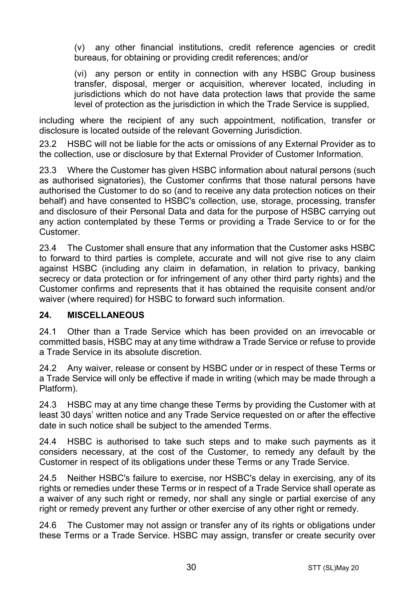(v) any other financial institutions, credit reference agencies or credit bureaus, for obtaining or providing credit references; and/or

(vi) any person or entity in connection with any HSBC Group business transfer, disposal, merger or acquisition, wherever located, including in jurisdictions which do not have data protection laws that provide the same level of protection as the jurisdiction in which the Trade Service is supplied,

including where the recipient of any such appointment, notification, transfer or disclosure is located outside of the relevant Governing Jurisdiction.

23.2 HSBC will not be liable for the acts or omissions of any External Provider as to the collection, use or disclosure by that External Provider of Customer Information.

23.3 Where the Customer has given HSBC information about natural persons (such as authorised signatories), the Customer confirms that those natural persons have authorised the Customer to do so (and to receive any data protection notices on their behalf) and have consented to HSBC's collection, use, storage, processing, transfer and disclosure of their Personal Data and data for the purpose of HSBC carrying out any action contemplated by these Terms or providing a Trade Service to or for the Customer.

23.4 The Customer shall ensure that any information that the Customer asks HSBC to forward to third parties is complete, accurate and will not give rise to any claim against HSBC (including any claim in defamation, in relation to privacy, banking secrecy or data protection or for infringement of any other third party rights) and the Customer confirms and represents that it has obtained the requisite consent and/or waiver (where required) for HSBC to forward such information.

## **24. MISCELLANEOUS**

24.1 Other than a Trade Service which has been provided on an irrevocable or committed basis, HSBC may at any time withdraw a Trade Service or refuse to provide a Trade Service in its absolute discretion.

24.2 Any waiver, release or consent by HSBC under or in respect of these Terms or a Trade Service will only be effective if made in writing (which may be made through a Platform).

24.3 HSBC may at any time change these Terms by providing the Customer with at least 30 days' written notice and any Trade Service requested on or after the effective date in such notice shall be subject to the amended Terms.

24.4 HSBC is authorised to take such steps and to make such payments as it considers necessary, at the cost of the Customer, to remedy any default by the Customer in respect of its obligations under these Terms or any Trade Service.

24.5 Neither HSBC's failure to exercise, nor HSBC's delay in exercising, any of its rights or remedies under these Terms or in respect of a Trade Service shall operate as a waiver of any such right or remedy, nor shall any single or partial exercise of any right or remedy prevent any further or other exercise of any other right or remedy.

24.6 The Customer may not assign or transfer any of its rights or obligations under these Terms or a Trade Service. HSBC may assign, transfer or create security over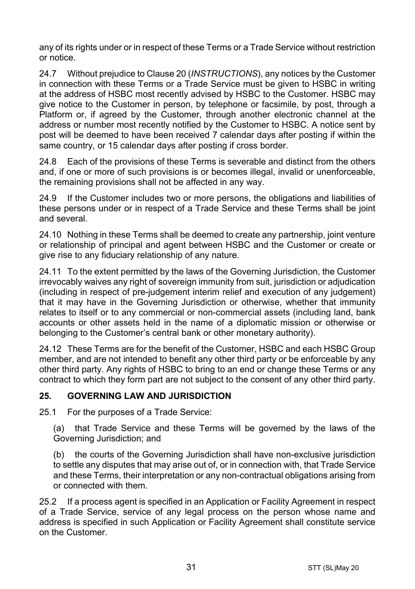any of its rights under or in respect of these Terms or a Trade Service without restriction or notice.

24.7 Without prejudice to Clause 20 (*INSTRUCTIONS*), any notices by the Customer in connection with these Terms or a Trade Service must be given to HSBC in writing at the address of HSBC most recently advised by HSBC to the Customer. HSBC may give notice to the Customer in person, by telephone or facsimile, by post, through a Platform or, if agreed by the Customer, through another electronic channel at the address or number most recently notified by the Customer to HSBC. A notice sent by post will be deemed to have been received 7 calendar days after posting if within the same country, or 15 calendar days after posting if cross border.

24.8 Each of the provisions of these Terms is severable and distinct from the others and, if one or more of such provisions is or becomes illegal, invalid or unenforceable, the remaining provisions shall not be affected in any way.

24.9 If the Customer includes two or more persons, the obligations and liabilities of these persons under or in respect of a Trade Service and these Terms shall be joint and several.

24.10 Nothing in these Terms shall be deemed to create any partnership, joint venture or relationship of principal and agent between HSBC and the Customer or create or give rise to any fiduciary relationship of any nature.

24.11 To the extent permitted by the laws of the Governing Jurisdiction, the Customer irrevocably waives any right of sovereign immunity from suit, jurisdiction or adjudication (including in respect of pre-judgement interim relief and execution of any judgement) that it may have in the Governing Jurisdiction or otherwise, whether that immunity relates to itself or to any commercial or non-commercial assets (including land, bank accounts or other assets held in the name of a diplomatic mission or otherwise or belonging to the Customer's central bank or other monetary authority).

24.12 These Terms are for the benefit of the Customer, HSBC and each HSBC Group member, and are not intended to benefit any other third party or be enforceable by any other third party. Any rights of HSBC to bring to an end or change these Terms or any contract to which they form part are not subject to the consent of any other third party.

## **25. GOVERNING LAW AND JURISDICTION**

25.1 For the purposes of a Trade Service:

(a) that Trade Service and these Terms will be governed by the laws of the Governing Jurisdiction; and

(b) the courts of the Governing Jurisdiction shall have non-exclusive jurisdiction to settle any disputes that may arise out of, or in connection with, that Trade Service and these Terms, their interpretation or any non-contractual obligations arising from or connected with them.

25.2 If a process agent is specified in an Application or Facility Agreement in respect of a Trade Service, service of any legal process on the person whose name and address is specified in such Application or Facility Agreement shall constitute service on the Customer.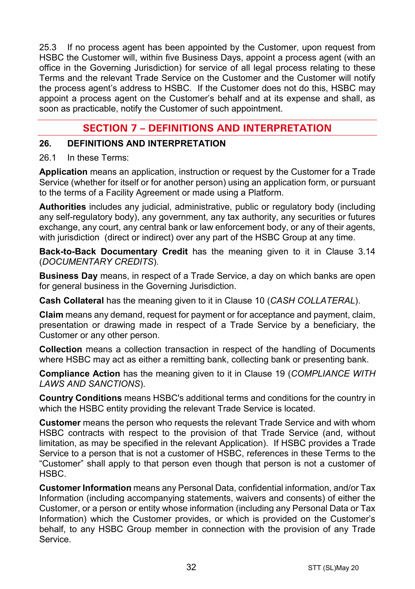25.3 If no process agent has been appointed by the Customer, upon request from HSBC the Customer will, within five Business Days, appoint a process agent (with an office in the Governing Jurisdiction) for service of all legal process relating to these Terms and the relevant Trade Service on the Customer and the Customer will notify the process agent's address to HSBC. If the Customer does not do this, HSBC may appoint a process agent on the Customer's behalf and at its expense and shall, as soon as practicable, notify the Customer of such appointment.

# **SECTION 7 – DEFINITIONS AND INTERPRETATION**

#### **26. DEFINITIONS AND INTERPRETATION**

#### 26.1 In these Terms:

**Application** means an application, instruction or request by the Customer for a Trade Service (whether for itself or for another person) using an application form, or pursuant to the terms of a Facility Agreement or made using a Platform.

**Authorities** includes any judicial, administrative, public or regulatory body (including any self-regulatory body), any government, any tax authority, any securities or futures exchange, any court, any central bank or law enforcement body, or any of their agents, with jurisdiction (direct or indirect) over any part of the HSBC Group at any time.

**Back-to-Back Documentary Credit** has the meaning given to it in Clause 3.14 (*DOCUMENTARY CREDITS*).

**Business Day** means, in respect of a Trade Service, a day on which banks are open for general business in the Governing Jurisdiction.

**Cash Collateral** has the meaning given to it in Clause 10 (*CASH COLLATERAL*).

**Claim** means any demand, request for payment or for acceptance and payment, claim, presentation or drawing made in respect of a Trade Service by a beneficiary, the Customer or any other person.

**Collection** means a collection transaction in respect of the handling of Documents where HSBC may act as either a remitting bank, collecting bank or presenting bank.

**Compliance Action** has the meaning given to it in Clause 19 (*COMPLIANCE WITH LAWS AND SANCTIONS*).

**Country Conditions** means HSBC's additional terms and conditions for the country in which the HSBC entity providing the relevant Trade Service is located.

**Customer** means the person who requests the relevant Trade Service and with whom HSBC contracts with respect to the provision of that Trade Service (and, without limitation, as may be specified in the relevant Application). If HSBC provides a Trade Service to a person that is not a customer of HSBC, references in these Terms to the "Customer" shall apply to that person even though that person is not a customer of HSBC.

**Customer Information** means any Personal Data, confidential information, and/or Tax Information (including accompanying statements, waivers and consents) of either the Customer, or a person or entity whose information (including any Personal Data or Tax Information) which the Customer provides, or which is provided on the Customer's behalf, to any HSBC Group member in connection with the provision of any Trade Service.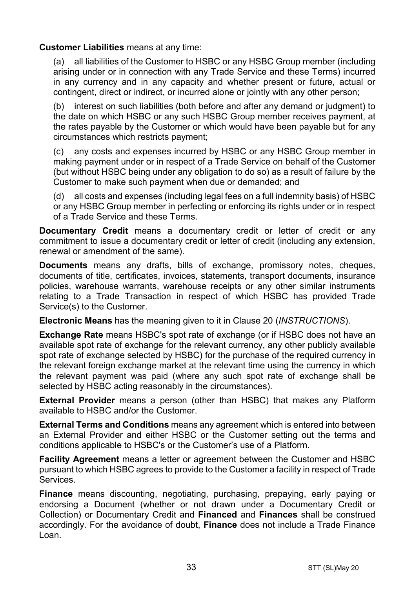#### **Customer Liabilities** means at any time:

(a) all liabilities of the Customer to HSBC or any HSBC Group member (including arising under or in connection with any Trade Service and these Terms) incurred in any currency and in any capacity and whether present or future, actual or contingent, direct or indirect, or incurred alone or jointly with any other person;

(b) interest on such liabilities (both before and after any demand or judgment) to the date on which HSBC or any such HSBC Group member receives payment, at the rates payable by the Customer or which would have been payable but for any circumstances which restricts payment;

(c) any costs and expenses incurred by HSBC or any HSBC Group member in making payment under or in respect of a Trade Service on behalf of the Customer (but without HSBC being under any obligation to do so) as a result of failure by the Customer to make such payment when due or demanded; and

(d) all costs and expenses (including legal fees on a full indemnity basis) of HSBC or any HSBC Group member in perfecting or enforcing its rights under or in respect of a Trade Service and these Terms.

**Documentary Credit** means a documentary credit or letter of credit or any commitment to issue a documentary credit or letter of credit (including any extension, renewal or amendment of the same).

**Documents** means any drafts, bills of exchange, promissory notes, cheques, documents of title, certificates, invoices, statements, transport documents, insurance policies, warehouse warrants, warehouse receipts or any other similar instruments relating to a Trade Transaction in respect of which HSBC has provided Trade Service(s) to the Customer.

**Electronic Means** has the meaning given to it in Clause 20 (*INSTRUCTIONS*).

**Exchange Rate** means HSBC's spot rate of exchange (or if HSBC does not have an available spot rate of exchange for the relevant currency, any other publicly available spot rate of exchange selected by HSBC) for the purchase of the required currency in the relevant foreign exchange market at the relevant time using the currency in which the relevant payment was paid (where any such spot rate of exchange shall be selected by HSBC acting reasonably in the circumstances).

**External Provider** means a person (other than HSBC) that makes any Platform available to HSBC and/or the Customer.

**External Terms and Conditions** means any agreement which is entered into between an External Provider and either HSBC or the Customer setting out the terms and conditions applicable to HSBC's or the Customer's use of a Platform.

**Facility Agreement** means a letter or agreement between the Customer and HSBC pursuant to which HSBC agrees to provide to the Customer a facility in respect of Trade Services.

**Finance** means discounting, negotiating, purchasing, prepaying, early paying or endorsing a Document (whether or not drawn under a Documentary Credit or Collection) or Documentary Credit and **Financed** and **Finances** shall be construed accordingly. For the avoidance of doubt, **Finance** does not include a Trade Finance Loan.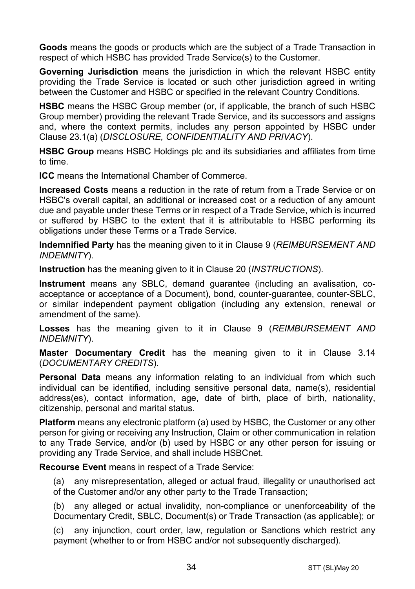**Goods** means the goods or products which are the subject of a Trade Transaction in respect of which HSBC has provided Trade Service(s) to the Customer.

**Governing Jurisdiction** means the jurisdiction in which the relevant HSBC entity providing the Trade Service is located or such other jurisdiction agreed in writing between the Customer and HSBC or specified in the relevant Country Conditions.

**HSBC** means the HSBC Group member (or, if applicable, the branch of such HSBC Group member) providing the relevant Trade Service, and its successors and assigns and, where the context permits, includes any person appointed by HSBC under Clause 23.1(a) (*DISCLOSURE, CONFIDENTIALITY AND PRIVACY*).

**HSBC Group** means HSBC Holdings plc and its subsidiaries and affiliates from time to time.

**ICC** means the International Chamber of Commerce.

**Increased Costs** means a reduction in the rate of return from a Trade Service or on HSBC's overall capital, an additional or increased cost or a reduction of any amount due and payable under these Terms or in respect of a Trade Service, which is incurred or suffered by HSBC to the extent that it is attributable to HSBC performing its obligations under these Terms or a Trade Service.

**Indemnified Party** has the meaning given to it in Clause 9 (*REIMBURSEMENT AND INDEMNITY*).

**Instruction** has the meaning given to it in Clause 20 (*INSTRUCTIONS*).

**Instrument** means any SBLC, demand guarantee (including an avalisation, coacceptance or acceptance of a Document), bond, counter-guarantee, counter-SBLC, or similar independent payment obligation (including any extension, renewal or amendment of the same).

**Losses** has the meaning given to it in Clause 9 (*REIMBURSEMENT AND INDEMNITY*).

**Master Documentary Credit** has the meaning given to it in Clause 3.14 (*DOCUMENTARY CREDITS*).

**Personal Data** means any information relating to an individual from which such individual can be identified, including sensitive personal data, name(s), residential address(es), contact information, age, date of birth, place of birth, nationality, citizenship, personal and marital status.

**Platform** means any electronic platform (a) used by HSBC, the Customer or any other person for giving or receiving any Instruction, Claim or other communication in relation to any Trade Service, and/or (b) used by HSBC or any other person for issuing or providing any Trade Service, and shall include HSBCnet.

**Recourse Event** means in respect of a Trade Service:

(a) any misrepresentation, alleged or actual fraud, illegality or unauthorised act of the Customer and/or any other party to the Trade Transaction;

(b) any alleged or actual invalidity, non-compliance or unenforceability of the Documentary Credit, SBLC, Document(s) or Trade Transaction (as applicable); or

(c) any injunction, court order, law, regulation or Sanctions which restrict any payment (whether to or from HSBC and/or not subsequently discharged).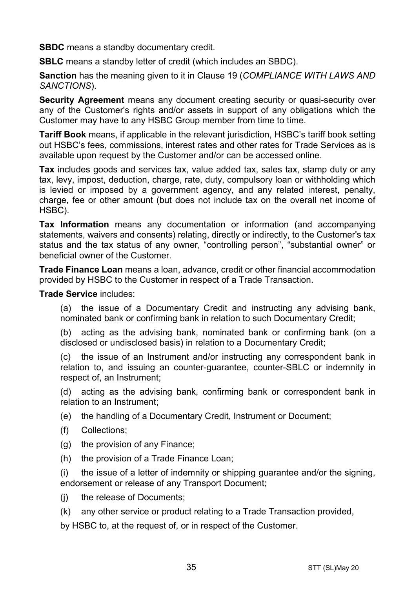**SBDC** means a standby documentary credit.

**SBLC** means a standby letter of credit (which includes an SBDC).

**Sanction** has the meaning given to it in Clause 19 (*COMPLIANCE WITH LAWS AND SANCTIONS*).

**Security Agreement** means any document creating security or quasi-security over any of the Customer's rights and/or assets in support of any obligations which the Customer may have to any HSBC Group member from time to time.

**Tariff Book** means, if applicable in the relevant jurisdiction, HSBC's tariff book setting out HSBC's fees, commissions, interest rates and other rates for Trade Services as is available upon request by the Customer and/or can be accessed online.

**Tax** includes goods and services tax, value added tax, sales tax, stamp duty or any tax, levy, impost, deduction, charge, rate, duty, compulsory loan or withholding which is levied or imposed by a government agency, and any related interest, penalty, charge, fee or other amount (but does not include tax on the overall net income of HSBC).

**Tax Information** means any documentation or information (and accompanying statements, waivers and consents) relating, directly or indirectly, to the Customer's tax status and the tax status of any owner, "controlling person", "substantial owner" or beneficial owner of the Customer.

**Trade Finance Loan** means a loan, advance, credit or other financial accommodation provided by HSBC to the Customer in respect of a Trade Transaction.

**Trade Service** includes:

(a) the issue of a Documentary Credit and instructing any advising bank, nominated bank or confirming bank in relation to such Documentary Credit;

(b) acting as the advising bank, nominated bank or confirming bank (on a disclosed or undisclosed basis) in relation to a Documentary Credit;

(c) the issue of an Instrument and/or instructing any correspondent bank in relation to, and issuing an counter-guarantee, counter-SBLC or indemnity in respect of, an Instrument;

(d) acting as the advising bank, confirming bank or correspondent bank in relation to an Instrument;

(e) the handling of a Documentary Credit, Instrument or Document;

- (f) Collections;
- (g) the provision of any Finance;
- (h) the provision of a Trade Finance Loan;

(i) the issue of a letter of indemnity or shipping guarantee and/or the signing, endorsement or release of any Transport Document;

- (j) the release of Documents;
- (k) any other service or product relating to a Trade Transaction provided,

by HSBC to, at the request of, or in respect of the Customer.